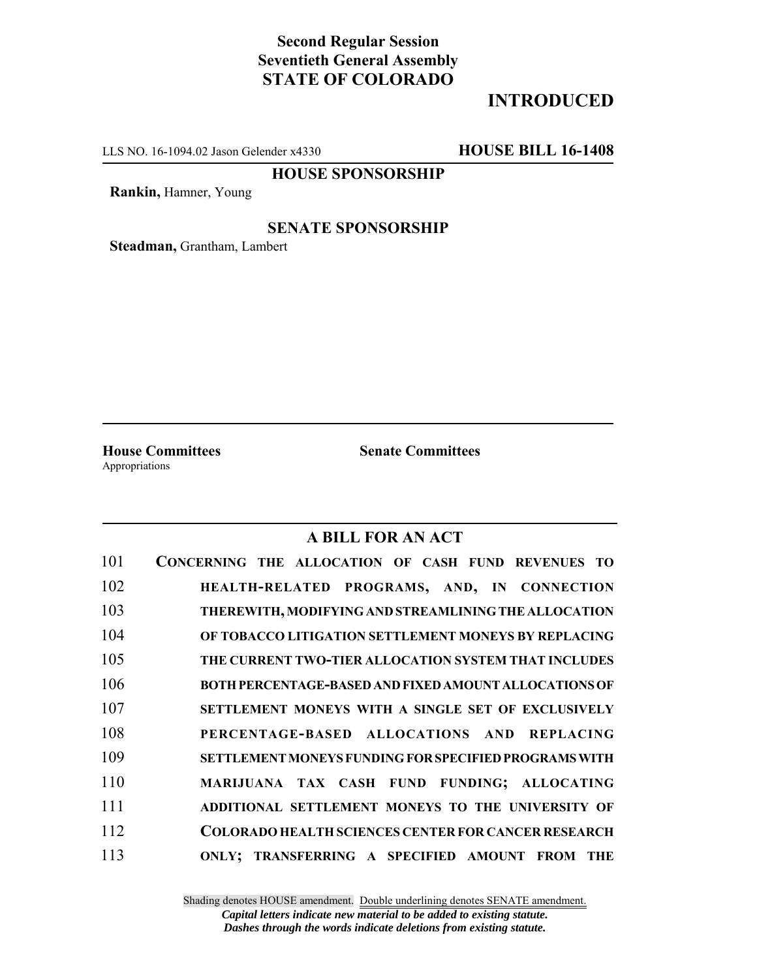## **Second Regular Session Seventieth General Assembly STATE OF COLORADO**

# **INTRODUCED**

LLS NO. 16-1094.02 Jason Gelender x4330 **HOUSE BILL 16-1408**

**HOUSE SPONSORSHIP**

**Rankin,** Hamner, Young

#### **SENATE SPONSORSHIP**

**Steadman,** Grantham, Lambert

Appropriations

**House Committees Senate Committees**

#### **A BILL FOR AN ACT**

| 101 | CONCERNING THE ALLOCATION OF CASH FUND REVENUES TO           |
|-----|--------------------------------------------------------------|
| 102 | HEALTH-RELATED PROGRAMS, AND, IN CONNECTION                  |
| 103 | THEREWITH, MODIFYING AND STREAMLINING THE ALLOCATION         |
| 104 | OF TOBACCO LITIGATION SETTLEMENT MONEYS BY REPLACING         |
| 105 | THE CURRENT TWO-TIER ALLOCATION SYSTEM THAT INCLUDES         |
| 106 | BOTH PERCENTAGE-BASED AND FIXED AMOUNT ALLOCATIONS OF        |
| 107 | SETTLEMENT MONEYS WITH A SINGLE SET OF EXCLUSIVELY           |
| 108 | PERCENTAGE-BASED ALLOCATIONS AND REPLACING                   |
| 109 | <b>SETTLEMENT MONEYS FUNDING FOR SPECIFIED PROGRAMS WITH</b> |
| 110 | MARIJUANA TAX CASH FUND FUNDING; ALLOCATING                  |
| 111 | ADDITIONAL SETTLEMENT MONEYS TO THE UNIVERSITY OF            |
| 112 | <b>COLORADO HEALTH SCIENCES CENTER FOR CANCER RESEARCH</b>   |
| 113 | ONLY; TRANSFERRING A SPECIFIED AMOUNT FROM THE               |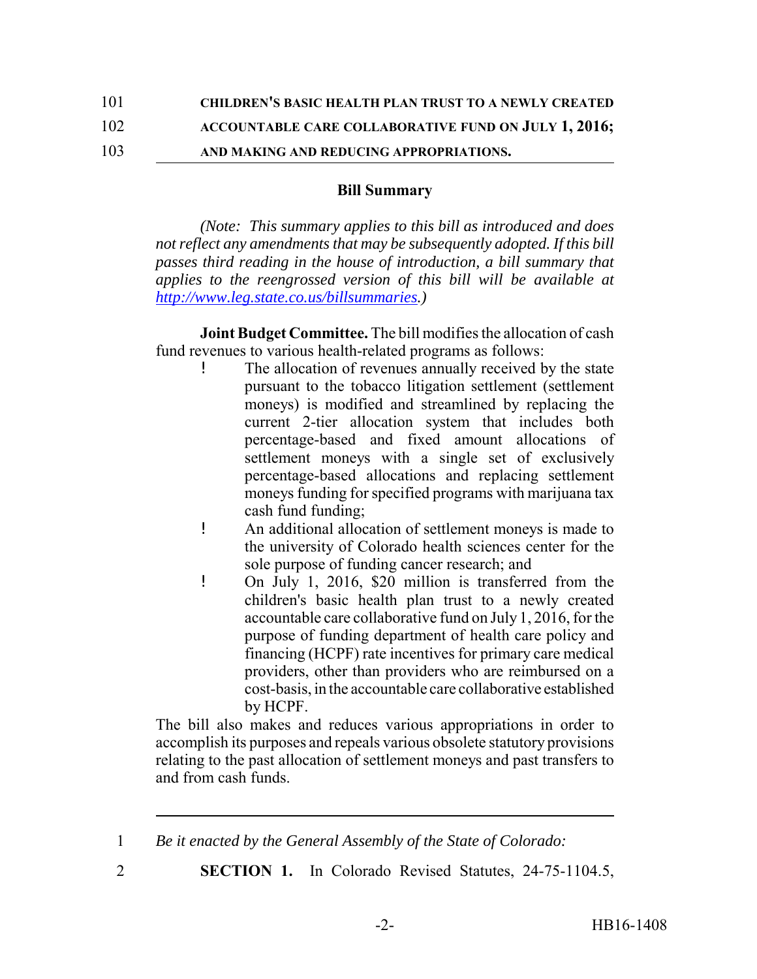| 101 | <b>CHILDREN'S BASIC HEALTH PLAN TRUST TO A NEWLY CREATED</b> |
|-----|--------------------------------------------------------------|
| 102 | ACCOUNTABLE CARE COLLABORATIVE FUND ON JULY 1, 2016;         |
| 103 | AND MAKING AND REDUCING APPROPRIATIONS.                      |

#### **Bill Summary**

*(Note: This summary applies to this bill as introduced and does not reflect any amendments that may be subsequently adopted. If this bill passes third reading in the house of introduction, a bill summary that applies to the reengrossed version of this bill will be available at http://www.leg.state.co.us/billsummaries.)*

**Joint Budget Committee.** The bill modifies the allocation of cash fund revenues to various health-related programs as follows:

- ! The allocation of revenues annually received by the state pursuant to the tobacco litigation settlement (settlement moneys) is modified and streamlined by replacing the current 2-tier allocation system that includes both percentage-based and fixed amount allocations of settlement moneys with a single set of exclusively percentage-based allocations and replacing settlement moneys funding for specified programs with marijuana tax cash fund funding;
- ! An additional allocation of settlement moneys is made to the university of Colorado health sciences center for the sole purpose of funding cancer research; and
- ! On July 1, 2016, \$20 million is transferred from the children's basic health plan trust to a newly created accountable care collaborative fund on July 1, 2016, for the purpose of funding department of health care policy and financing (HCPF) rate incentives for primary care medical providers, other than providers who are reimbursed on a cost-basis, in the accountable care collaborative established by HCPF.

The bill also makes and reduces various appropriations in order to accomplish its purposes and repeals various obsolete statutory provisions relating to the past allocation of settlement moneys and past transfers to and from cash funds.

- 1 *Be it enacted by the General Assembly of the State of Colorado:*
- 
- 2 **SECTION 1.** In Colorado Revised Statutes, 24-75-1104.5,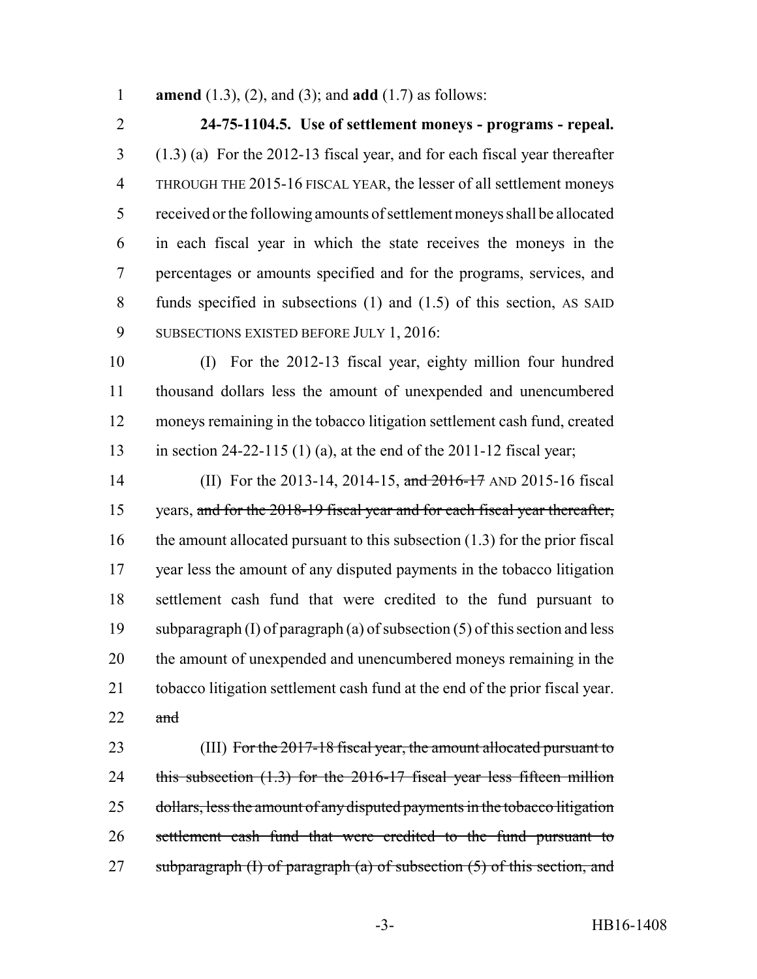**amend** (1.3), (2), and (3); and **add** (1.7) as follows:

 **24-75-1104.5. Use of settlement moneys - programs - repeal.** (1.3) (a) For the 2012-13 fiscal year, and for each fiscal year thereafter THROUGH THE 2015-16 FISCAL YEAR, the lesser of all settlement moneys received or the following amounts of settlement moneys shall be allocated in each fiscal year in which the state receives the moneys in the percentages or amounts specified and for the programs, services, and funds specified in subsections (1) and (1.5) of this section, AS SAID 9 SUBSECTIONS EXISTED BEFORE JULY 1, 2016:

 (I) For the 2012-13 fiscal year, eighty million four hundred thousand dollars less the amount of unexpended and unencumbered moneys remaining in the tobacco litigation settlement cash fund, created in section 24-22-115 (1) (a), at the end of the 2011-12 fiscal year;

14 (II) For the 2013-14, 2014-15, and 2016-17 AND 2015-16 fiscal years, and for the 2018-19 fiscal year and for each fiscal year thereafter, the amount allocated pursuant to this subsection (1.3) for the prior fiscal year less the amount of any disputed payments in the tobacco litigation settlement cash fund that were credited to the fund pursuant to subparagraph (I) of paragraph (a) of subsection (5) of this section and less the amount of unexpended and unencumbered moneys remaining in the tobacco litigation settlement cash fund at the end of the prior fiscal year. and

23 (III) For the 2017-18 fiscal year, the amount allocated pursuant to 24 this subsection (1.3) for the 2016-17 fiscal year less fifteen million dollars, less the amount of any disputed payments in the tobacco litigation settlement cash fund that were credited to the fund pursuant to 27 subparagraph  $(I)$  of paragraph  $(a)$  of subsection  $(5)$  of this section, and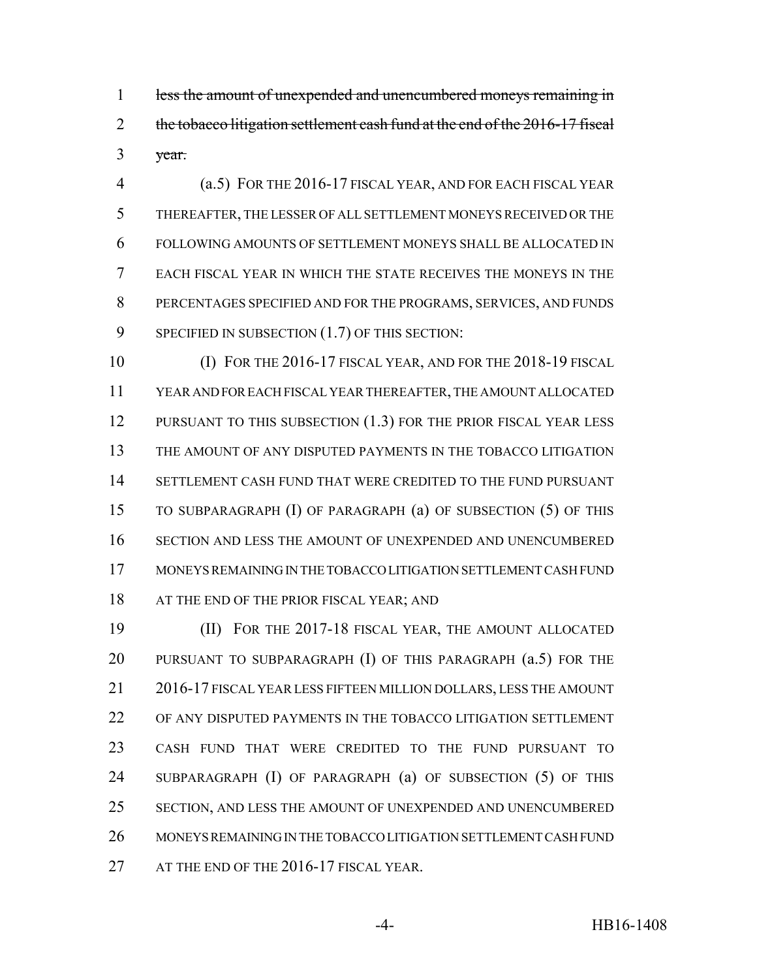1 less the amount of unexpended and unencumbered moneys remaining in 2 the tobacco litigation settlement cash fund at the end of the 2016-17 fiscal  $3 \text{ year.}$ 

 (a.5) FOR THE 2016-17 FISCAL YEAR, AND FOR EACH FISCAL YEAR THEREAFTER, THE LESSER OF ALL SETTLEMENT MONEYS RECEIVED OR THE FOLLOWING AMOUNTS OF SETTLEMENT MONEYS SHALL BE ALLOCATED IN EACH FISCAL YEAR IN WHICH THE STATE RECEIVES THE MONEYS IN THE PERCENTAGES SPECIFIED AND FOR THE PROGRAMS, SERVICES, AND FUNDS 9 SPECIFIED IN SUBSECTION (1.7) OF THIS SECTION:

 (I) FOR THE 2016-17 FISCAL YEAR, AND FOR THE 2018-19 FISCAL YEAR AND FOR EACH FISCAL YEAR THEREAFTER, THE AMOUNT ALLOCATED 12 PURSUANT TO THIS SUBSECTION (1.3) FOR THE PRIOR FISCAL YEAR LESS THE AMOUNT OF ANY DISPUTED PAYMENTS IN THE TOBACCO LITIGATION SETTLEMENT CASH FUND THAT WERE CREDITED TO THE FUND PURSUANT TO SUBPARAGRAPH (I) OF PARAGRAPH (a) OF SUBSECTION (5) OF THIS SECTION AND LESS THE AMOUNT OF UNEXPENDED AND UNENCUMBERED MONEYS REMAINING IN THE TOBACCO LITIGATION SETTLEMENT CASH FUND 18 AT THE END OF THE PRIOR FISCAL YEAR; AND

 (II) FOR THE 2017-18 FISCAL YEAR, THE AMOUNT ALLOCATED 20 PURSUANT TO SUBPARAGRAPH (I) OF THIS PARAGRAPH (a.5) FOR THE 2016-17 FISCAL YEAR LESS FIFTEEN MILLION DOLLARS, LESS THE AMOUNT OF ANY DISPUTED PAYMENTS IN THE TOBACCO LITIGATION SETTLEMENT CASH FUND THAT WERE CREDITED TO THE FUND PURSUANT TO SUBPARAGRAPH (I) OF PARAGRAPH (a) OF SUBSECTION (5) OF THIS SECTION, AND LESS THE AMOUNT OF UNEXPENDED AND UNENCUMBERED MONEYS REMAINING IN THE TOBACCO LITIGATION SETTLEMENT CASH FUND 27 AT THE END OF THE 2016-17 FISCAL YEAR.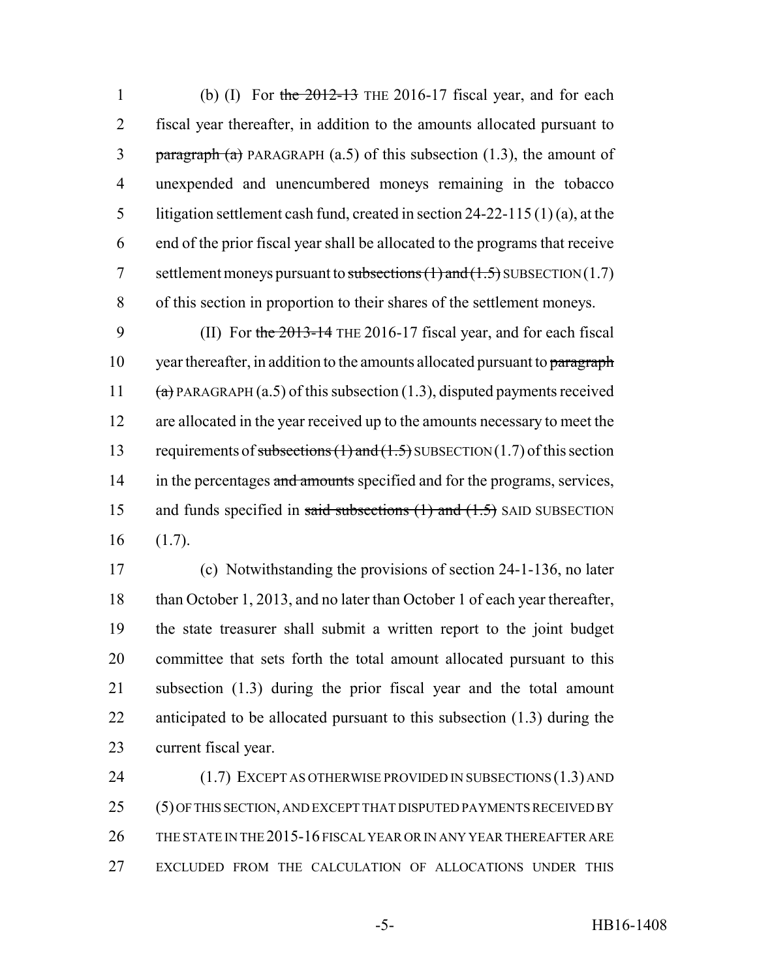1 (b) (I) For the  $2012-13$  THE 2016-17 fiscal year, and for each fiscal year thereafter, in addition to the amounts allocated pursuant to 3 paragraph  $(a)$  PARAGRAPH  $(a.5)$  of this subsection  $(1.3)$ , the amount of unexpended and unencumbered moneys remaining in the tobacco litigation settlement cash fund, created in section 24-22-115 (1) (a), at the end of the prior fiscal year shall be allocated to the programs that receive 7 settlement moneys pursuant to subsections  $(1)$  and  $(1.5)$  SUBSECTION  $(1.7)$ of this section in proportion to their shares of the settlement moneys.

9 (II) For the 2013-14 THE 2016-17 fiscal year, and for each fiscal 10 year thereafter, in addition to the amounts allocated pursuant to paragraph 11  $(a)$  PARAGRAPH (a.5) of this subsection (1.3), disputed payments received 12 are allocated in the year received up to the amounts necessary to meet the 13 requirements of subsections  $(1)$  and  $(1.5)$  SUBSECTION  $(1.7)$  of this section 14 in the percentages and amounts specified and for the programs, services, 15 and funds specified in said subsections (1) and (1.5) SAID SUBSECTION 16 (1.7).

 (c) Notwithstanding the provisions of section 24-1-136, no later 18 than October 1, 2013, and no later than October 1 of each year thereafter, the state treasurer shall submit a written report to the joint budget committee that sets forth the total amount allocated pursuant to this subsection (1.3) during the prior fiscal year and the total amount anticipated to be allocated pursuant to this subsection (1.3) during the current fiscal year.

24 (1.7) EXCEPT AS OTHERWISE PROVIDED IN SUBSECTIONS (1.3) AND (5) OF THIS SECTION, AND EXCEPT THAT DISPUTED PAYMENTS RECEIVED BY THE STATE IN THE 2015-16 FISCAL YEAR OR IN ANY YEAR THEREAFTER ARE EXCLUDED FROM THE CALCULATION OF ALLOCATIONS UNDER THIS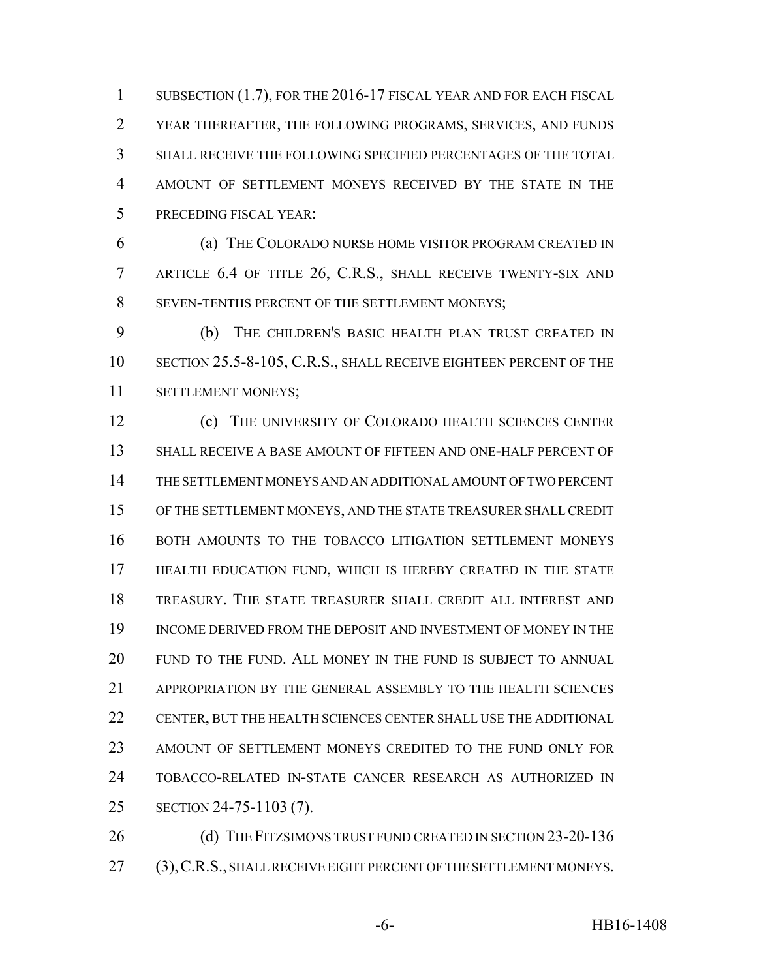1 SUBSECTION (1.7), FOR THE 2016-17 FISCAL YEAR AND FOR EACH FISCAL YEAR THEREAFTER, THE FOLLOWING PROGRAMS, SERVICES, AND FUNDS SHALL RECEIVE THE FOLLOWING SPECIFIED PERCENTAGES OF THE TOTAL AMOUNT OF SETTLEMENT MONEYS RECEIVED BY THE STATE IN THE PRECEDING FISCAL YEAR:

 (a) THE COLORADO NURSE HOME VISITOR PROGRAM CREATED IN ARTICLE 6.4 OF TITLE 26, C.R.S., SHALL RECEIVE TWENTY-SIX AND SEVEN-TENTHS PERCENT OF THE SETTLEMENT MONEYS;

 (b) THE CHILDREN'S BASIC HEALTH PLAN TRUST CREATED IN 10 SECTION 25.5-8-105, C.R.S., SHALL RECEIVE EIGHTEEN PERCENT OF THE SETTLEMENT MONEYS;

 (c) THE UNIVERSITY OF COLORADO HEALTH SCIENCES CENTER SHALL RECEIVE A BASE AMOUNT OF FIFTEEN AND ONE-HALF PERCENT OF THE SETTLEMENT MONEYS AND AN ADDITIONAL AMOUNT OF TWO PERCENT OF THE SETTLEMENT MONEYS, AND THE STATE TREASURER SHALL CREDIT BOTH AMOUNTS TO THE TOBACCO LITIGATION SETTLEMENT MONEYS HEALTH EDUCATION FUND, WHICH IS HEREBY CREATED IN THE STATE TREASURY. THE STATE TREASURER SHALL CREDIT ALL INTEREST AND INCOME DERIVED FROM THE DEPOSIT AND INVESTMENT OF MONEY IN THE FUND TO THE FUND. ALL MONEY IN THE FUND IS SUBJECT TO ANNUAL APPROPRIATION BY THE GENERAL ASSEMBLY TO THE HEALTH SCIENCES CENTER, BUT THE HEALTH SCIENCES CENTER SHALL USE THE ADDITIONAL AMOUNT OF SETTLEMENT MONEYS CREDITED TO THE FUND ONLY FOR TOBACCO-RELATED IN-STATE CANCER RESEARCH AS AUTHORIZED IN SECTION 24-75-1103 (7).

26 (d) THE FITZSIMONS TRUST FUND CREATED IN SECTION 23-20-136 27 (3), C.R.S., SHALL RECEIVE EIGHT PERCENT OF THE SETTLEMENT MONEYS.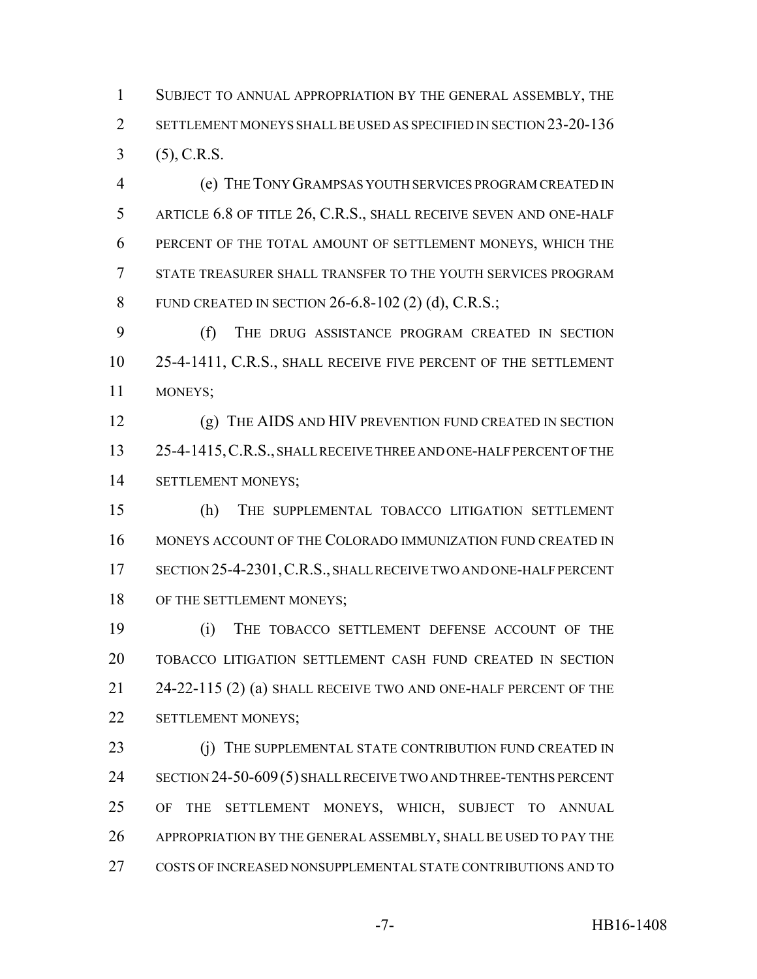SUBJECT TO ANNUAL APPROPRIATION BY THE GENERAL ASSEMBLY, THE SETTLEMENT MONEYS SHALL BE USED AS SPECIFIED IN SECTION 23-20-136 (5), C.R.S.

 (e) THE TONY GRAMPSAS YOUTH SERVICES PROGRAM CREATED IN 5 ARTICLE 6.8 OF TITLE 26, C.R.S., SHALL RECEIVE SEVEN AND ONE-HALF PERCENT OF THE TOTAL AMOUNT OF SETTLEMENT MONEYS, WHICH THE STATE TREASURER SHALL TRANSFER TO THE YOUTH SERVICES PROGRAM FUND CREATED IN SECTION 26-6.8-102 (2) (d), C.R.S.;

 (f) THE DRUG ASSISTANCE PROGRAM CREATED IN SECTION 25-4-1411, C.R.S., SHALL RECEIVE FIVE PERCENT OF THE SETTLEMENT MONEYS;

 (g) THE AIDS AND HIV PREVENTION FUND CREATED IN SECTION 13 25-4-1415, C.R.S., SHALL RECEIVE THREE AND ONE-HALF PERCENT OF THE SETTLEMENT MONEYS;

 (h) THE SUPPLEMENTAL TOBACCO LITIGATION SETTLEMENT MONEYS ACCOUNT OF THE COLORADO IMMUNIZATION FUND CREATED IN SECTION 25-4-2301,C.R.S., SHALL RECEIVE TWO AND ONE-HALF PERCENT 18 OF THE SETTLEMENT MONEYS;

 (i) THE TOBACCO SETTLEMENT DEFENSE ACCOUNT OF THE TOBACCO LITIGATION SETTLEMENT CASH FUND CREATED IN SECTION 21 24-22-115 (2) (a) SHALL RECEIVE TWO AND ONE-HALF PERCENT OF THE SETTLEMENT MONEYS;

23 (j) THE SUPPLEMENTAL STATE CONTRIBUTION FUND CREATED IN SECTION 24-50-609(5) SHALL RECEIVE TWO AND THREE-TENTHS PERCENT OF THE SETTLEMENT MONEYS, WHICH, SUBJECT TO ANNUAL APPROPRIATION BY THE GENERAL ASSEMBLY, SHALL BE USED TO PAY THE COSTS OF INCREASED NONSUPPLEMENTAL STATE CONTRIBUTIONS AND TO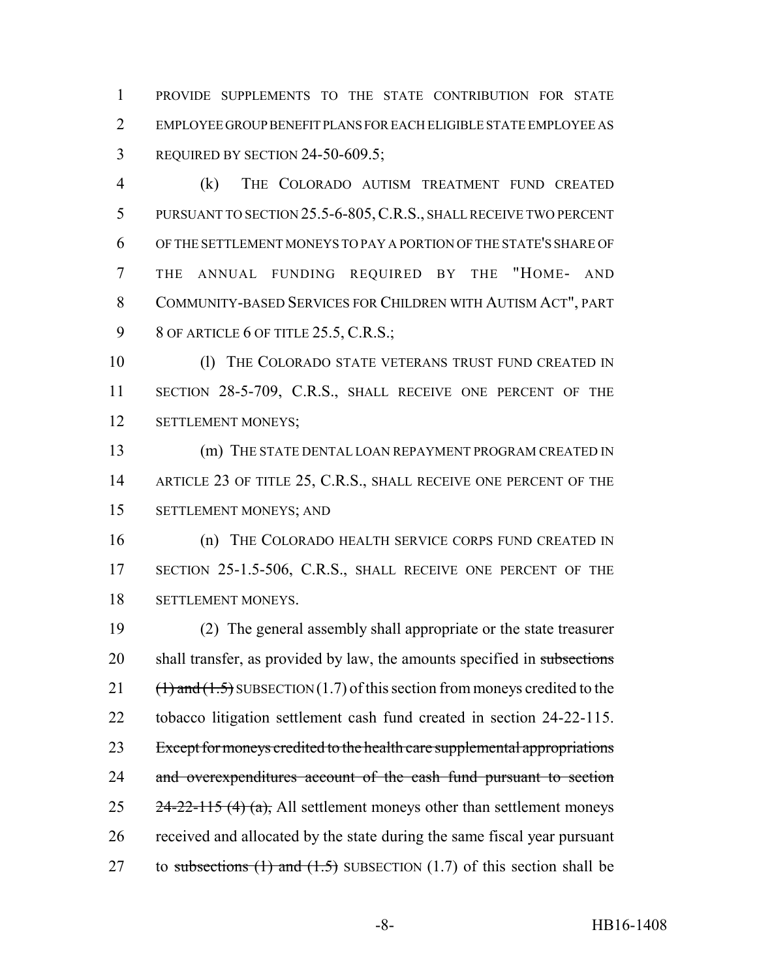1 PROVIDE SUPPLEMENTS TO THE STATE CONTRIBUTION FOR STATE 2 EMPLOYEE GROUP BENEFIT PLANS FOR EACH ELIGIBLE STATE EMPLOYEE AS 3 REQUIRED BY SECTION 24-50-609.5;

 (k) THE COLORADO AUTISM TREATMENT FUND CREATED PURSUANT TO SECTION 25.5-6-805,C.R.S., SHALL RECEIVE TWO PERCENT OF THE SETTLEMENT MONEYS TO PAY A PORTION OF THE STATE'S SHARE OF THE ANNUAL FUNDING REQUIRED BY THE "HOME- AND COMMUNITY-BASED SERVICES FOR CHILDREN WITH AUTISM ACT", PART 9 8 OF ARTICLE 6 OF TITLE 25.5, C.R.S.;

10 (l) THE COLORADO STATE VETERANS TRUST FUND CREATED IN 11 SECTION 28-5-709, C.R.S., SHALL RECEIVE ONE PERCENT OF THE 12 SETTLEMENT MONEYS;

13 (m) THE STATE DENTAL LOAN REPAYMENT PROGRAM CREATED IN 14 ARTICLE 23 OF TITLE 25, C.R.S., SHALL RECEIVE ONE PERCENT OF THE 15 SETTLEMENT MONEYS; AND

16 (n) THE COLORADO HEALTH SERVICE CORPS FUND CREATED IN 17 SECTION 25-1.5-506, C.R.S., SHALL RECEIVE ONE PERCENT OF THE 18 SETTLEMENT MONEYS.

19 (2) The general assembly shall appropriate or the state treasurer 20 shall transfer, as provided by law, the amounts specified in subsections 21  $(\text{1})$  and  $(\text{1.5})$  SUBSECTION (1.7) of this section from moneys credited to the 22 tobacco litigation settlement cash fund created in section 24-22-115. 23 Except for moneys credited to the health care supplemental appropriations 24 and overexpenditures account of the cash fund pursuant to section 25  $24-22-115(4)(a)$ , All settlement moneys other than settlement moneys 26 received and allocated by the state during the same fiscal year pursuant 27 to subsections  $(1)$  and  $(1.5)$  SUBSECTION  $(1.7)$  of this section shall be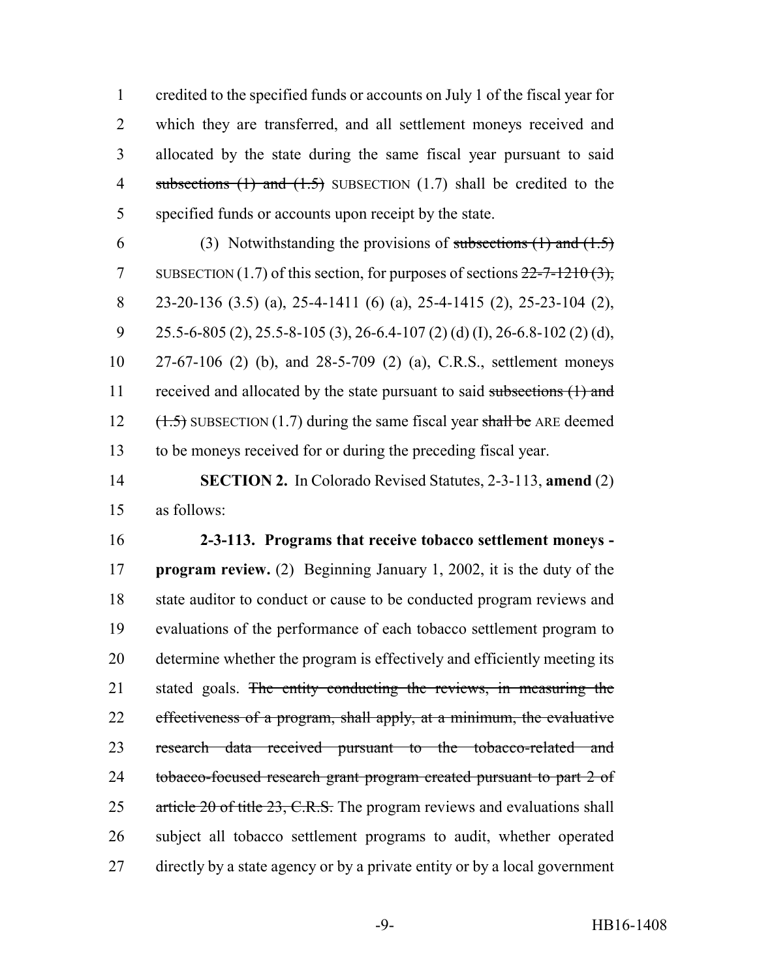credited to the specified funds or accounts on July 1 of the fiscal year for which they are transferred, and all settlement moneys received and allocated by the state during the same fiscal year pursuant to said 4 subsections  $(1)$  and  $(1.5)$  SUBSECTION  $(1.7)$  shall be credited to the specified funds or accounts upon receipt by the state.

6 (3) Notwithstanding the provisions of subsections  $(1)$  and  $(1.5)$ 7 SUBSECTION (1.7) of this section, for purposes of sections  $22-7-1210(3)$ , 23-20-136 (3.5) (a), 25-4-1411 (6) (a), 25-4-1415 (2), 25-23-104 (2), 9 25.5-6-805 (2), 25.5-8-105 (3), 26-6.4-107 (2) (d) (I), 26-6.8-102 (2) (d), 27-67-106 (2) (b), and 28-5-709 (2) (a), C.R.S., settlement moneys 11 received and allocated by the state pursuant to said subsections (1) and 12  $(\frac{1.5}{1.5})$  SUBSECTION (1.7) during the same fiscal year shall be ARE deemed to be moneys received for or during the preceding fiscal year.

 **SECTION 2.** In Colorado Revised Statutes, 2-3-113, **amend** (2) as follows:

 **2-3-113. Programs that receive tobacco settlement moneys - program review.** (2) Beginning January 1, 2002, it is the duty of the 18 state auditor to conduct or cause to be conducted program reviews and evaluations of the performance of each tobacco settlement program to determine whether the program is effectively and efficiently meeting its 21 stated goals. The entity conducting the reviews, in measuring the effectiveness of a program, shall apply, at a minimum, the evaluative research data received pursuant to the tobacco-related and 24 tobacco-focused research grant program created pursuant to part 2 of 25 article 20 of title 23, C.R.S. The program reviews and evaluations shall subject all tobacco settlement programs to audit, whether operated directly by a state agency or by a private entity or by a local government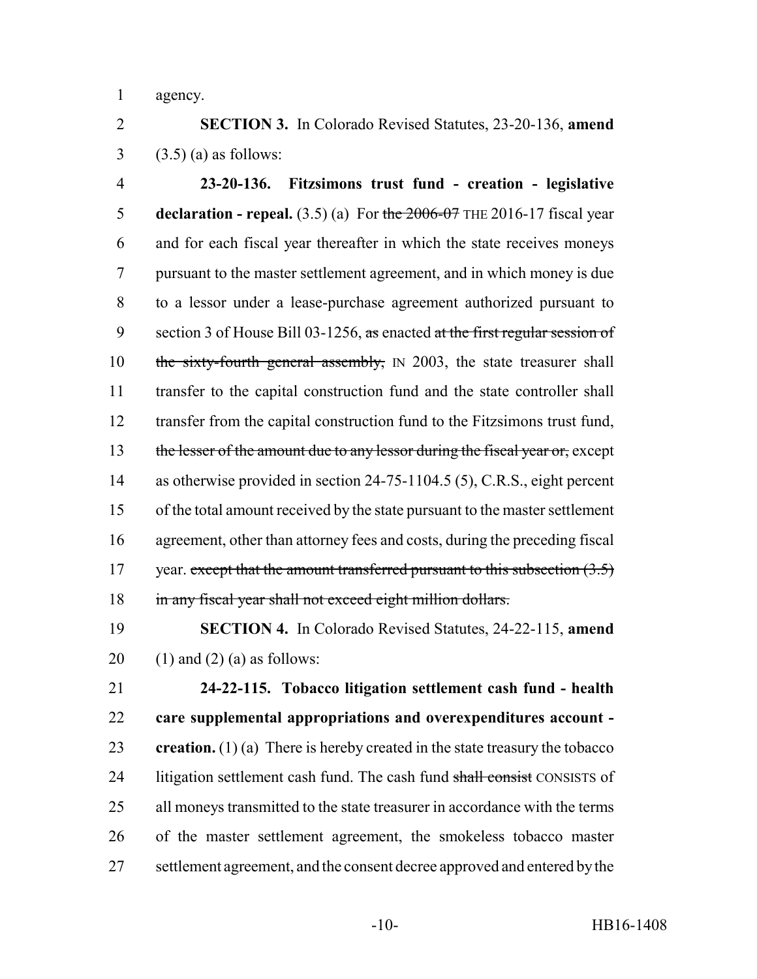agency.

 **SECTION 3.** In Colorado Revised Statutes, 23-20-136, **amend**  $3 \qquad (3.5)$  (a) as follows:

 **23-20-136. Fitzsimons trust fund - creation - legislative declaration - repeal.** (3.5) (a) For the 2006-07 THE 2016-17 fiscal year and for each fiscal year thereafter in which the state receives moneys pursuant to the master settlement agreement, and in which money is due to a lessor under a lease-purchase agreement authorized pursuant to 9 section 3 of House Bill 03-1256, as enacted at the first regular session of 10 the sixty-fourth general assembly, IN 2003, the state treasurer shall transfer to the capital construction fund and the state controller shall transfer from the capital construction fund to the Fitzsimons trust fund, 13 the lesser of the amount due to any lessor during the fiscal year or, except as otherwise provided in section 24-75-1104.5 (5), C.R.S., eight percent of the total amount received by the state pursuant to the master settlement agreement, other than attorney fees and costs, during the preceding fiscal 17 year. except that the amount transferred pursuant to this subsection (3.5) 18 in any fiscal year shall not exceed eight million dollars.

 **SECTION 4.** In Colorado Revised Statutes, 24-22-115, **amend** 20  $(1)$  and  $(2)$  (a) as follows:

 **24-22-115. Tobacco litigation settlement cash fund - health care supplemental appropriations and overexpenditures account - creation.** (1) (a) There is hereby created in the state treasury the tobacco 24 litigation settlement cash fund. The cash fund shall consist CONSISTS of all moneys transmitted to the state treasurer in accordance with the terms of the master settlement agreement, the smokeless tobacco master 27 settlement agreement, and the consent decree approved and entered by the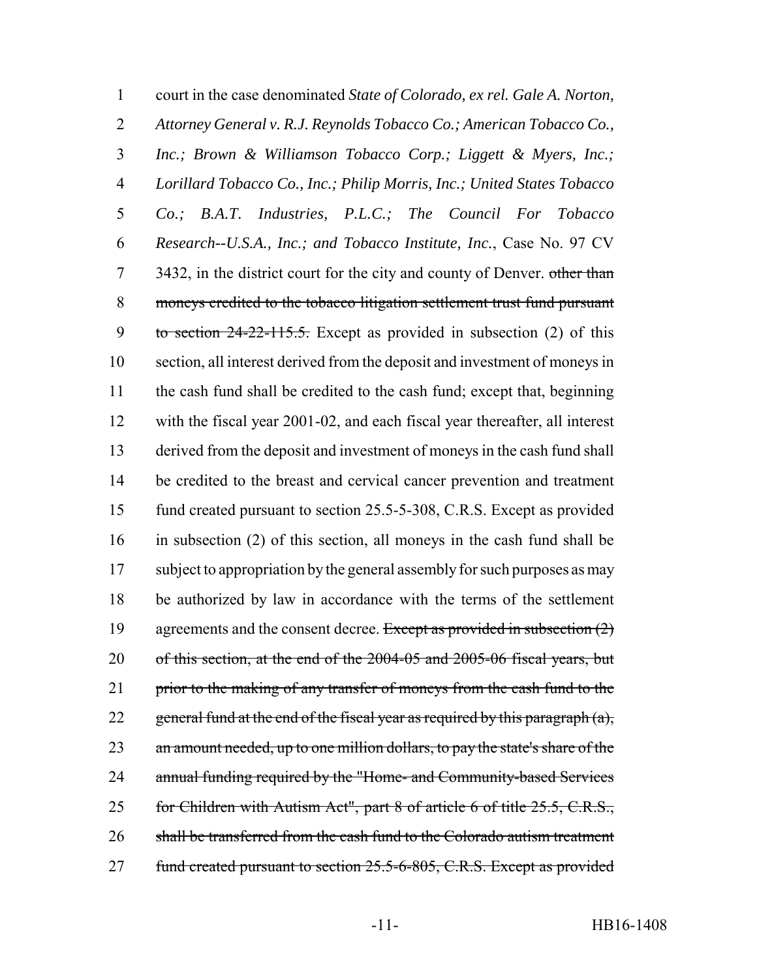1 court in the case denominated *State of Colorado, ex rel. Gale A. Norton,* 2 *Attorney General v. R.J. Reynolds Tobacco Co.; American Tobacco Co.,* 3 *Inc.; Brown & Williamson Tobacco Corp.; Liggett & Myers, Inc.;* 4 *Lorillard Tobacco Co., Inc.; Philip Morris, Inc.; United States Tobacco* 5 *Co.; B.A.T. Industries, P.L.C.; The Council For Tobacco* 6 *Research--U.S.A., Inc.; and Tobacco Institute, Inc.*, Case No. 97 CV 7 3432, in the district court for the city and county of Denver. other than 8 moneys credited to the tobacco litigation settlement trust fund pursuant 9 to section 24-22-115.5. Except as provided in subsection (2) of this 10 section, all interest derived from the deposit and investment of moneys in 11 the cash fund shall be credited to the cash fund; except that, beginning 12 with the fiscal year 2001-02, and each fiscal year thereafter, all interest 13 derived from the deposit and investment of moneys in the cash fund shall 14 be credited to the breast and cervical cancer prevention and treatment 15 fund created pursuant to section 25.5-5-308, C.R.S. Except as provided 16 in subsection (2) of this section, all moneys in the cash fund shall be 17 subject to appropriation by the general assembly for such purposes as may 18 be authorized by law in accordance with the terms of the settlement 19 agreements and the consent decree. Except as provided in subsection (2) 20 of this section, at the end of the 2004-05 and 2005-06 fiscal years, but 21 prior to the making of any transfer of moneys from the cash fund to the 22 general fund at the end of the fiscal year as required by this paragraph  $(a)$ , 23 an amount needed, up to one million dollars, to pay the state's share of the 24 annual funding required by the "Home- and Community-based Services 25 for Children with Autism Act", part 8 of article 6 of title 25.5, C.R.S., 26 shall be transferred from the cash fund to the Colorado autism treatment 27 fund created pursuant to section 25.5-6-805, C.R.S. Except as provided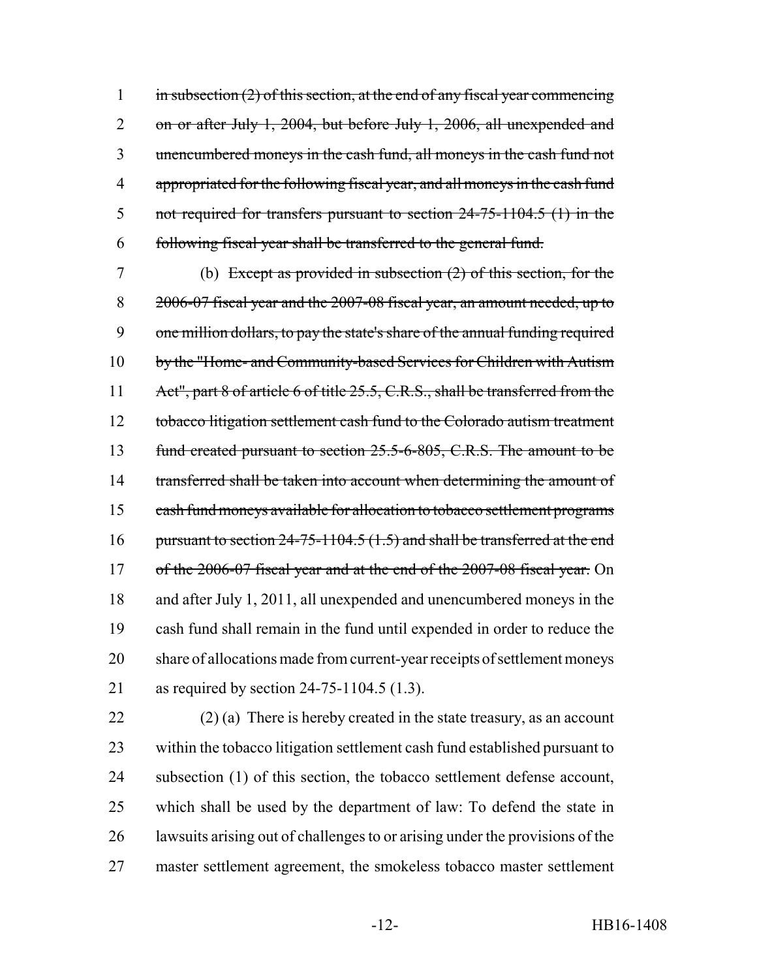1 in subsection  $(2)$  of this section, at the end of any fiscal year commencing 2 on or after July 1, 2004, but before July 1, 2006, all unexpended and unencumbered moneys in the cash fund, all moneys in the cash fund not appropriated for the following fiscal year, and all moneys in the cash fund not required for transfers pursuant to section 24-75-1104.5 (1) in the following fiscal year shall be transferred to the general fund.

7 (b) Except as provided in subsection (2) of this section, for the 8 2006-07 fiscal year and the 2007-08 fiscal year, an amount needed, up to 9 one million dollars, to pay the state's share of the annual funding required 10 by the "Home- and Community-based Services for Children with Autism 11 Act", part 8 of article 6 of title 25.5, C.R.S., shall be transferred from the 12 tobacco litigation settlement cash fund to the Colorado autism treatment 13 fund created pursuant to section 25.5-6-805, C.R.S. The amount to be 14 transferred shall be taken into account when determining the amount of 15 cash fund moneys available for allocation to tobacco settlement programs 16 pursuant to section 24-75-1104.5 (1.5) and shall be transferred at the end 17 of the 2006-07 fiscal year and at the end of the 2007-08 fiscal year. On 18 and after July 1, 2011, all unexpended and unencumbered moneys in the 19 cash fund shall remain in the fund until expended in order to reduce the 20 share of allocations made from current-year receipts of settlement moneys 21 as required by section 24-75-1104.5 (1.3).

 (2) (a) There is hereby created in the state treasury, as an account within the tobacco litigation settlement cash fund established pursuant to 24 subsection (1) of this section, the tobacco settlement defense account, which shall be used by the department of law: To defend the state in lawsuits arising out of challenges to or arising under the provisions of the master settlement agreement, the smokeless tobacco master settlement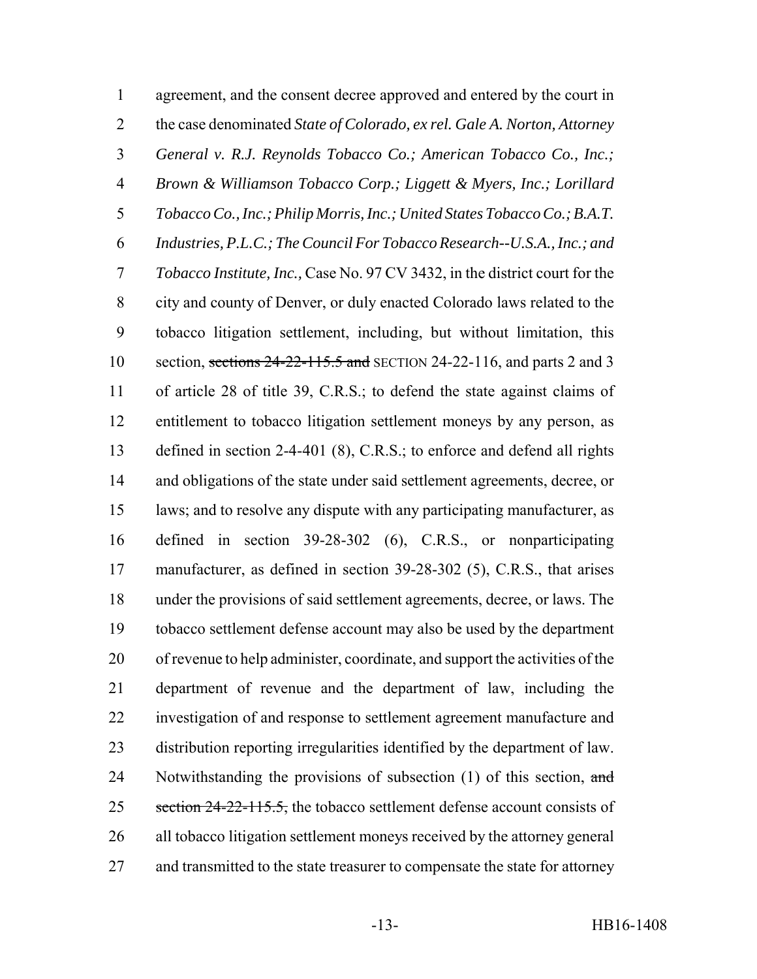agreement, and the consent decree approved and entered by the court in the case denominated *State of Colorado, ex rel. Gale A. Norton, Attorney General v. R.J. Reynolds Tobacco Co.; American Tobacco Co., Inc.; Brown & Williamson Tobacco Corp.; Liggett & Myers, Inc.; Lorillard Tobacco Co., Inc.; Philip Morris, Inc.; United States Tobacco Co.; B.A.T. Industries, P.L.C.; The Council For Tobacco Research--U.S.A., Inc.; and Tobacco Institute, Inc.,* Case No. 97 CV 3432, in the district court for the city and county of Denver, or duly enacted Colorado laws related to the tobacco litigation settlement, including, but without limitation, this section, sections 24-22-115.5 and SECTION 24-22-116, and parts 2 and 3 of article 28 of title 39, C.R.S.; to defend the state against claims of entitlement to tobacco litigation settlement moneys by any person, as defined in section 2-4-401 (8), C.R.S.; to enforce and defend all rights and obligations of the state under said settlement agreements, decree, or laws; and to resolve any dispute with any participating manufacturer, as defined in section 39-28-302 (6), C.R.S., or nonparticipating manufacturer, as defined in section 39-28-302 (5), C.R.S., that arises under the provisions of said settlement agreements, decree, or laws. The tobacco settlement defense account may also be used by the department of revenue to help administer, coordinate, and support the activities of the department of revenue and the department of law, including the investigation of and response to settlement agreement manufacture and distribution reporting irregularities identified by the department of law. 24 Notwithstanding the provisions of subsection (1) of this section, and 25 section 24-22-115.5, the tobacco settlement defense account consists of all tobacco litigation settlement moneys received by the attorney general 27 and transmitted to the state treasurer to compensate the state for attorney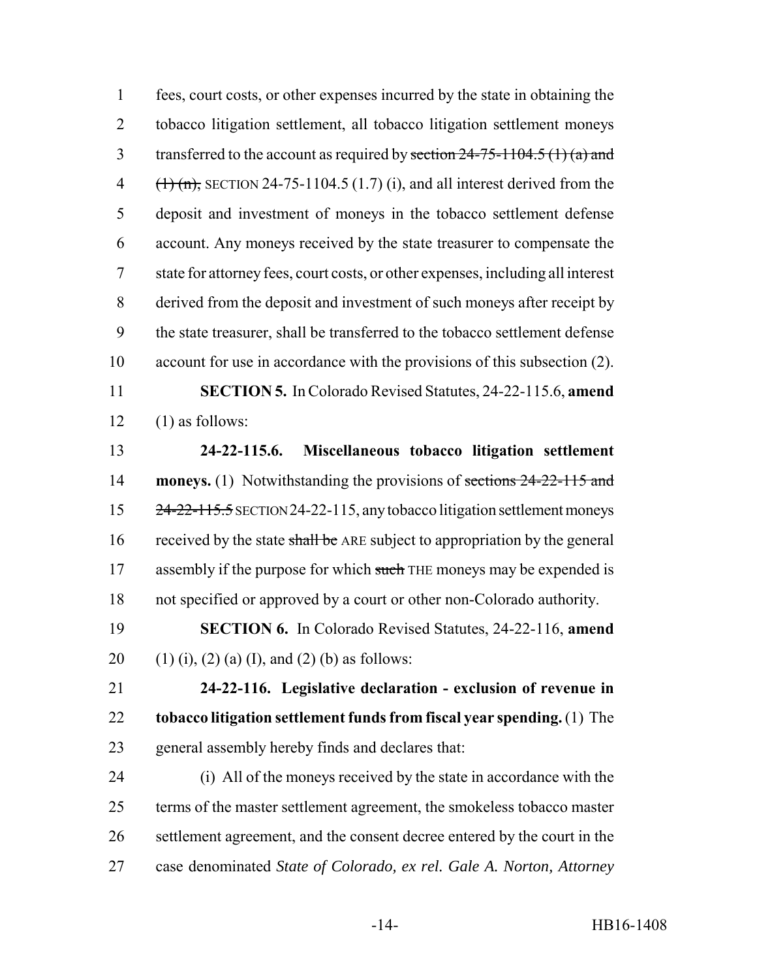fees, court costs, or other expenses incurred by the state in obtaining the tobacco litigation settlement, all tobacco litigation settlement moneys 3 transferred to the account as required by section  $24-75-1104.5$  (1) (a) and  $(\text{1})$  (n), SECTION 24-75-1104.5 (1.7) (i), and all interest derived from the deposit and investment of moneys in the tobacco settlement defense account. Any moneys received by the state treasurer to compensate the state for attorney fees, court costs, or other expenses, including all interest derived from the deposit and investment of such moneys after receipt by the state treasurer, shall be transferred to the tobacco settlement defense account for use in accordance with the provisions of this subsection (2).

 **SECTION 5.** In Colorado Revised Statutes, 24-22-115.6, **amend**  $12 \quad (1)$  as follows:

 **24-22-115.6. Miscellaneous tobacco litigation settlement moneys.** (1) Notwithstanding the provisions of sections 24-22-115 and  $\frac{24-22-115.5}{24-22-115}$  SECTION 24-22-115, any tobacco litigation settlement moneys 16 received by the state shall be ARE subject to appropriation by the general 17 assembly if the purpose for which such THE moneys may be expended is not specified or approved by a court or other non-Colorado authority.

 **SECTION 6.** In Colorado Revised Statutes, 24-22-116, **amend** 20 (1) (i), (2) (a) (I), and (2) (b) as follows:

 **24-22-116. Legislative declaration - exclusion of revenue in tobacco litigation settlement funds from fiscal year spending.** (1) The general assembly hereby finds and declares that:

 (i) All of the moneys received by the state in accordance with the terms of the master settlement agreement, the smokeless tobacco master settlement agreement, and the consent decree entered by the court in the case denominated *State of Colorado, ex rel. Gale A. Norton, Attorney*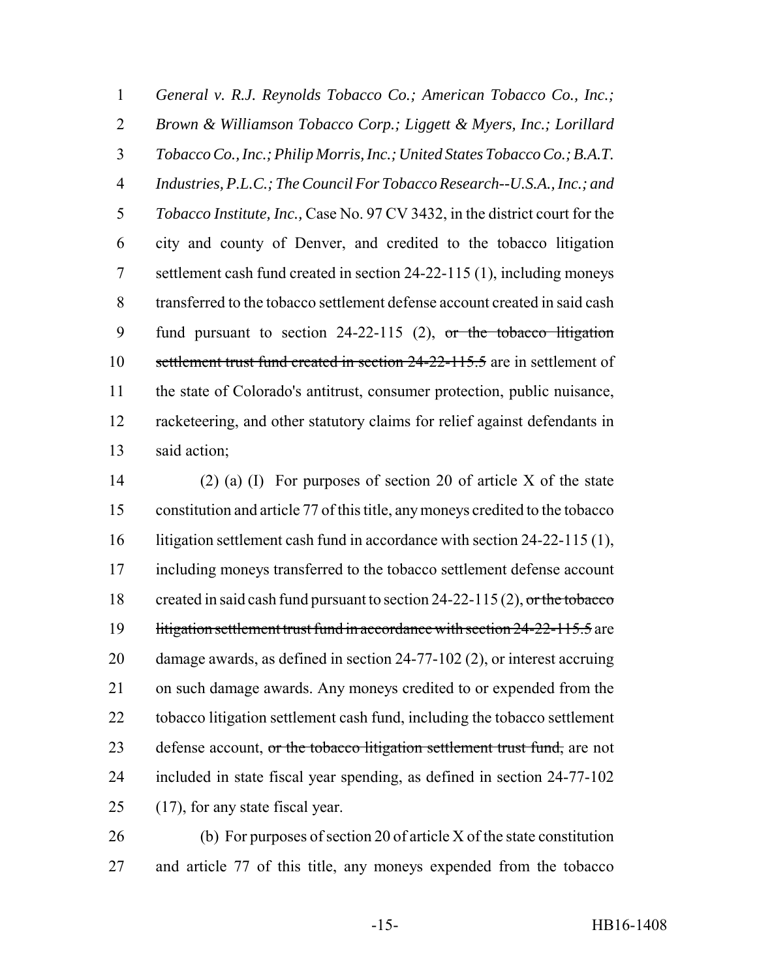*General v. R.J. Reynolds Tobacco Co.; American Tobacco Co., Inc.; Brown & Williamson Tobacco Corp.; Liggett & Myers, Inc.; Lorillard Tobacco Co., Inc.; Philip Morris, Inc.; United States Tobacco Co.; B.A.T. Industries, P.L.C.; The Council For Tobacco Research--U.S.A., Inc.; and Tobacco Institute, Inc.,* Case No. 97 CV 3432, in the district court for the city and county of Denver, and credited to the tobacco litigation settlement cash fund created in section 24-22-115 (1), including moneys transferred to the tobacco settlement defense account created in said cash 9 fund pursuant to section  $24-22-115$  (2), or the tobacco litigation settlement trust fund created in section 24-22-115.5 are in settlement of the state of Colorado's antitrust, consumer protection, public nuisance, racketeering, and other statutory claims for relief against defendants in said action;

 (2) (a) (I) For purposes of section 20 of article X of the state constitution and article 77 of this title, any moneys credited to the tobacco litigation settlement cash fund in accordance with section 24-22-115 (1), including moneys transferred to the tobacco settlement defense account 18 created in said cash fund pursuant to section 24-22-115 (2), or the tobacco 19 litigation settlement trust fund in accordance with section 24-22-115.5 are damage awards, as defined in section 24-77-102 (2), or interest accruing on such damage awards. Any moneys credited to or expended from the tobacco litigation settlement cash fund, including the tobacco settlement 23 defense account, or the tobacco litigation settlement trust fund, are not included in state fiscal year spending, as defined in section 24-77-102 (17), for any state fiscal year.

 (b) For purposes of section 20 of article X of the state constitution and article 77 of this title, any moneys expended from the tobacco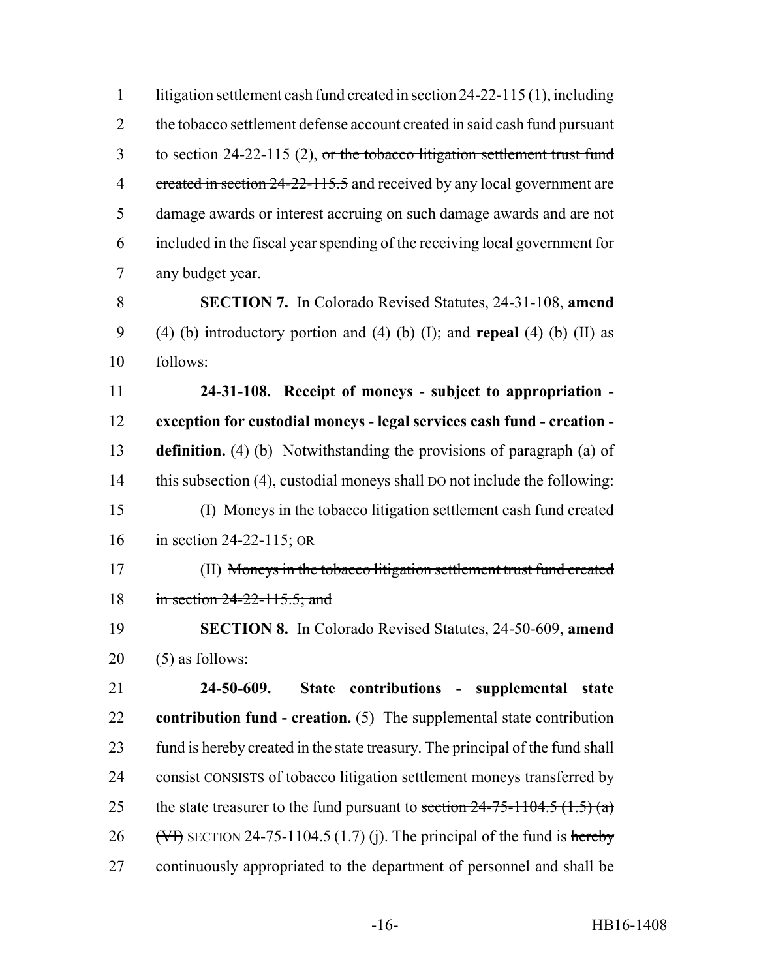| $\mathbf{1}$   | litigation settlement cash fund created in section 24-22-115 (1), including     |
|----------------|---------------------------------------------------------------------------------|
| $\overline{2}$ | the tobacco settlement defense account created in said cash fund pursuant       |
| 3              | to section $24-22-115$ (2), or the tobacco-litigation settlement trust fund     |
| $\overline{4}$ | ereated in section 24-22-115.5 and received by any local government are         |
| 5              | damage awards or interest accruing on such damage awards and are not            |
| 6              | included in the fiscal year spending of the receiving local government for      |
| 7              | any budget year.                                                                |
| 8              | <b>SECTION 7.</b> In Colorado Revised Statutes, 24-31-108, amend                |
| 9              | (4) (b) introductory portion and (4) (b) (I); and <b>repeal</b> (4) (b) (II) as |
| 10             | follows:                                                                        |
| 11             | 24-31-108. Receipt of moneys - subject to appropriation -                       |
| 12             | exception for custodial moneys - legal services cash fund - creation -          |
| 13             | definition. (4) (b) Notwithstanding the provisions of paragraph (a) of          |
| 14             | this subsection (4), custodial moneys shall DO not include the following:       |
| 15             | (I) Moneys in the tobacco litigation settlement cash fund created               |
| 16             | in section $24-22-115$ ; OR                                                     |
| 17             | (II) Moneys in the tobacco litigation settlement trust fund created             |
| 18             | in section $24-22-115.5$ ; and                                                  |
| 19             | <b>SECTION 8.</b> In Colorado Revised Statutes, 24-50-609, amend                |
| 20             | $(5)$ as follows:                                                               |
| 21             | 24-50-609.<br>State contributions - supplemental state                          |
| 22             | contribution fund - creation. $(5)$ The supplemental state contribution         |
| 23             | fund is hereby created in the state treasury. The principal of the fund shall   |
| 24             | consist CONSISTS of tobacco litigation settlement moneys transferred by         |
| 25             | the state treasurer to the fund pursuant to section $24-75-1104.5(1.5)(a)$      |
| 26             | $(\forall$ EXECTION 24-75-1104.5 (1.7) (j). The principal of the fund is hereby |
| 27             | continuously appropriated to the department of personnel and shall be           |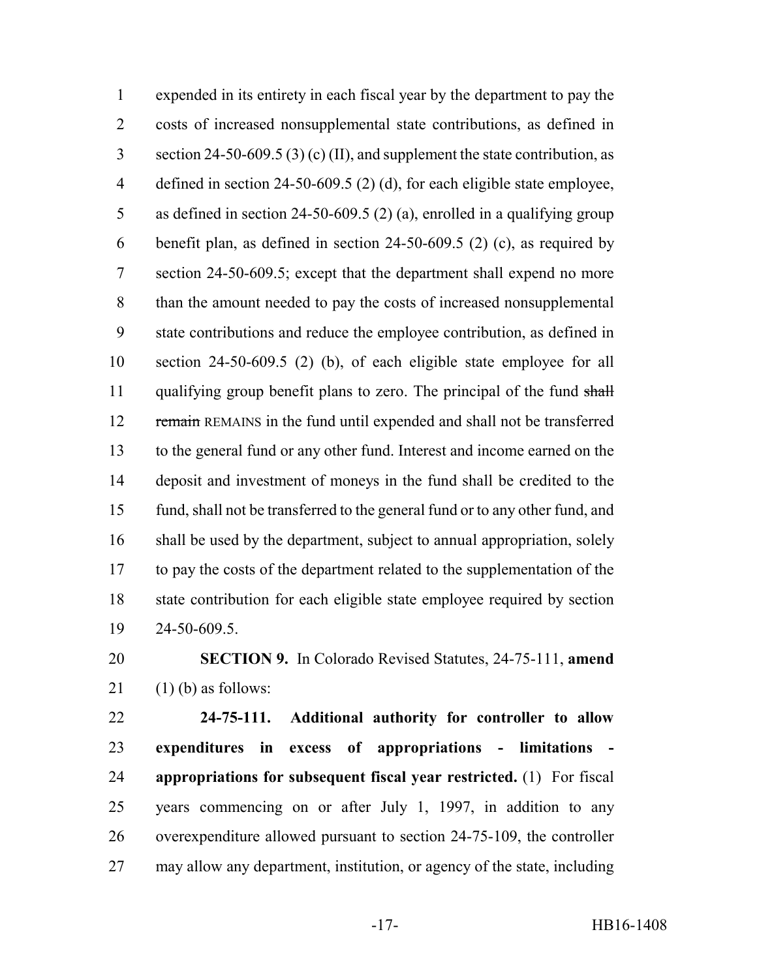expended in its entirety in each fiscal year by the department to pay the costs of increased nonsupplemental state contributions, as defined in section 24-50-609.5 (3) (c) (II), and supplement the state contribution, as defined in section 24-50-609.5 (2) (d), for each eligible state employee, as defined in section 24-50-609.5 (2) (a), enrolled in a qualifying group benefit plan, as defined in section 24-50-609.5 (2) (c), as required by section 24-50-609.5; except that the department shall expend no more than the amount needed to pay the costs of increased nonsupplemental state contributions and reduce the employee contribution, as defined in section 24-50-609.5 (2) (b), of each eligible state employee for all 11 qualifying group benefit plans to zero. The principal of the fund shall 12 remain REMAINS in the fund until expended and shall not be transferred to the general fund or any other fund. Interest and income earned on the deposit and investment of moneys in the fund shall be credited to the fund, shall not be transferred to the general fund or to any other fund, and shall be used by the department, subject to annual appropriation, solely to pay the costs of the department related to the supplementation of the state contribution for each eligible state employee required by section 24-50-609.5.

# **SECTION 9.** In Colorado Revised Statutes, 24-75-111, **amend** 21  $(1)$  (b) as follows:

 **24-75-111. Additional authority for controller to allow expenditures in excess of appropriations - limitations - appropriations for subsequent fiscal year restricted.** (1) For fiscal years commencing on or after July 1, 1997, in addition to any overexpenditure allowed pursuant to section 24-75-109, the controller may allow any department, institution, or agency of the state, including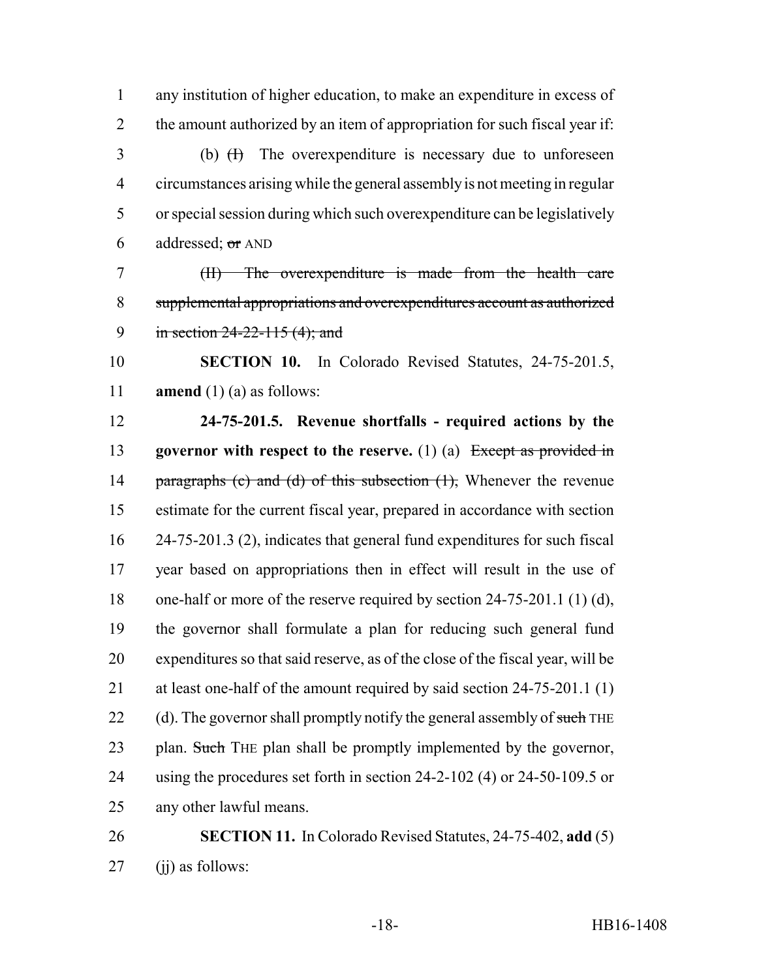any institution of higher education, to make an expenditure in excess of 2 the amount authorized by an item of appropriation for such fiscal year if:

3 (b) (H) The overexpenditure is necessary due to unforeseen circumstances arising while the general assembly is not meeting in regular or special session during which such overexpenditure can be legislatively addressed; or AND

 (II) The overexpenditure is made from the health care supplemental appropriations and overexpenditures account as authorized 9 in section 24-22-115 (4); and

 **SECTION 10.** In Colorado Revised Statutes, 24-75-201.5, **amend** (1) (a) as follows:

 **24-75-201.5. Revenue shortfalls - required actions by the governor with respect to the reserve.** (1) (a) Except as provided in 14 paragraphs (c) and (d) of this subsection (1), Whenever the revenue estimate for the current fiscal year, prepared in accordance with section 24-75-201.3 (2), indicates that general fund expenditures for such fiscal year based on appropriations then in effect will result in the use of one-half or more of the reserve required by section 24-75-201.1 (1) (d), the governor shall formulate a plan for reducing such general fund expenditures so that said reserve, as of the close of the fiscal year, will be at least one-half of the amount required by said section 24-75-201.1 (1) 22 (d). The governor shall promptly notify the general assembly of such THE 23 plan. Such THE plan shall be promptly implemented by the governor, using the procedures set forth in section 24-2-102 (4) or 24-50-109.5 or any other lawful means.

 **SECTION 11.** In Colorado Revised Statutes, 24-75-402, **add** (5) (jj) as follows: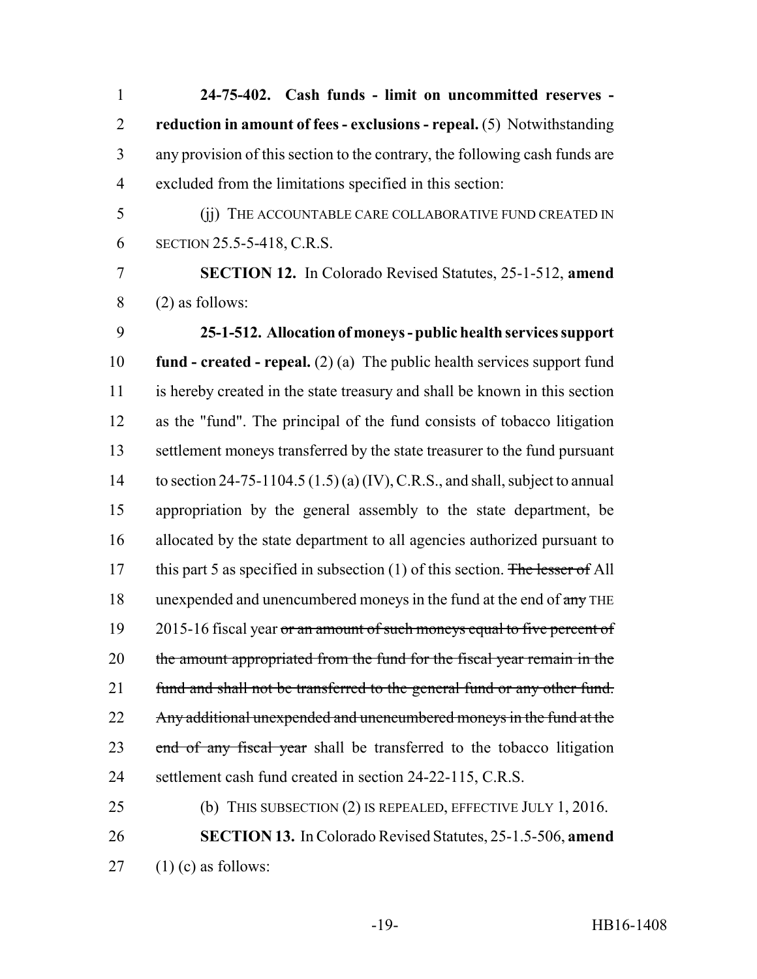**24-75-402. Cash funds - limit on uncommitted reserves - reduction in amount of fees - exclusions - repeal.** (5) Notwithstanding any provision of this section to the contrary, the following cash funds are excluded from the limitations specified in this section:

 (jj) THE ACCOUNTABLE CARE COLLABORATIVE FUND CREATED IN SECTION 25.5-5-418, C.R.S.

 **SECTION 12.** In Colorado Revised Statutes, 25-1-512, **amend** (2) as follows:

 **25-1-512. Allocation of moneys - public health services support fund - created - repeal.** (2) (a) The public health services support fund is hereby created in the state treasury and shall be known in this section as the "fund". The principal of the fund consists of tobacco litigation settlement moneys transferred by the state treasurer to the fund pursuant to section 24-75-1104.5 (1.5) (a) (IV), C.R.S., and shall, subject to annual appropriation by the general assembly to the state department, be allocated by the state department to all agencies authorized pursuant to 17 this part 5 as specified in subsection (1) of this section. The lesser of All 18 unexpended and unencumbered moneys in the fund at the end of  $\frac{1}{2}$  THE 19 2015-16 fiscal year or an amount of such moneys equal to five percent of 20 the amount appropriated from the fund for the fiscal year remain in the 21 fund and shall not be transferred to the general fund or any other fund. 22 Any additional unexpended and unencumbered moneys in the fund at the 23 end of any fiscal year shall be transferred to the tobacco litigation settlement cash fund created in section 24-22-115, C.R.S.

25 (b) THIS SUBSECTION (2) IS REPEALED, EFFECTIVE JULY 1, 2016. **SECTION 13.** In Colorado Revised Statutes, 25-1.5-506, **amend** (1) (c) as follows: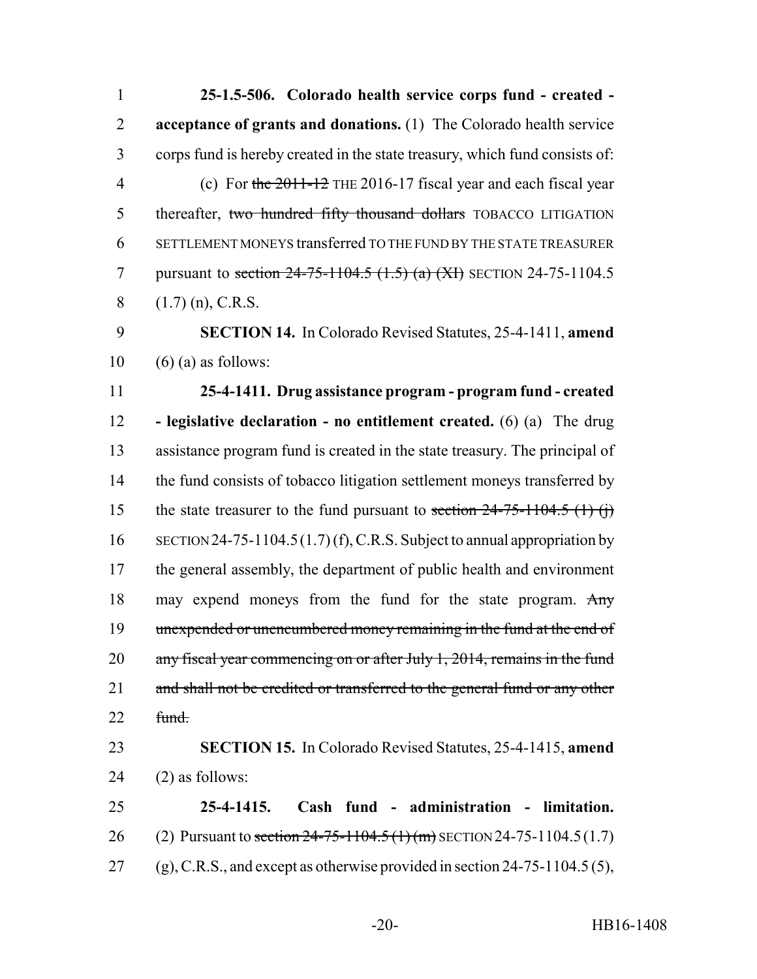1 **25-1.5-506. Colorado health service corps fund - created -** 2 **acceptance of grants and donations.** (1) The Colorado health service 3 corps fund is hereby created in the state treasury, which fund consists of: 4 (c) For the 2011-12 THE 2016-17 fiscal year and each fiscal year 5 thereafter, two hundred fifty thousand dollars TOBACCO LITIGATION 6 SETTLEMENT MONEYS transferred TO THE FUND BY THE STATE TREASURER 7 pursuant to section 24-75-1104.5 (1.5) (a) (XI) SECTION 24-75-1104.5 8  $(1.7)$  (n), C.R.S. 9 **SECTION 14.** In Colorado Revised Statutes, 25-4-1411, **amend**  $10 \quad (6)$  (a) as follows: 11 **25-4-1411. Drug assistance program - program fund - created** 12 **- legislative declaration - no entitlement created.** (6) (a) The drug 13 assistance program fund is created in the state treasury. The principal of 14 the fund consists of tobacco litigation settlement moneys transferred by 15 the state treasurer to the fund pursuant to section  $24-75-1104.5$  (1) (j) 16 SECTION 24-75-1104.5(1.7) (f), C.R.S. Subject to annual appropriation by 17 the general assembly, the department of public health and environment 18 may expend moneys from the fund for the state program. Any 19 unexpended or unencumbered money remaining in the fund at the end of 20 any fiscal year commencing on or after July 1, 2014, remains in the fund 21 and shall not be credited or transferred to the general fund or any other  $22$  fund 23 **SECTION 15.** In Colorado Revised Statutes, 25-4-1415, **amend**  $24$  (2) as follows: 25 **25-4-1415. Cash fund - administration - limitation.**

- 26 (2) Pursuant to section  $24-75-1104.5$  (1)  $(m)$  SECTION 24-75-1104.5(1.7) 27 (g), C.R.S., and except as otherwise provided in section 24-75-1104.5 (5),
	- -20- HB16-1408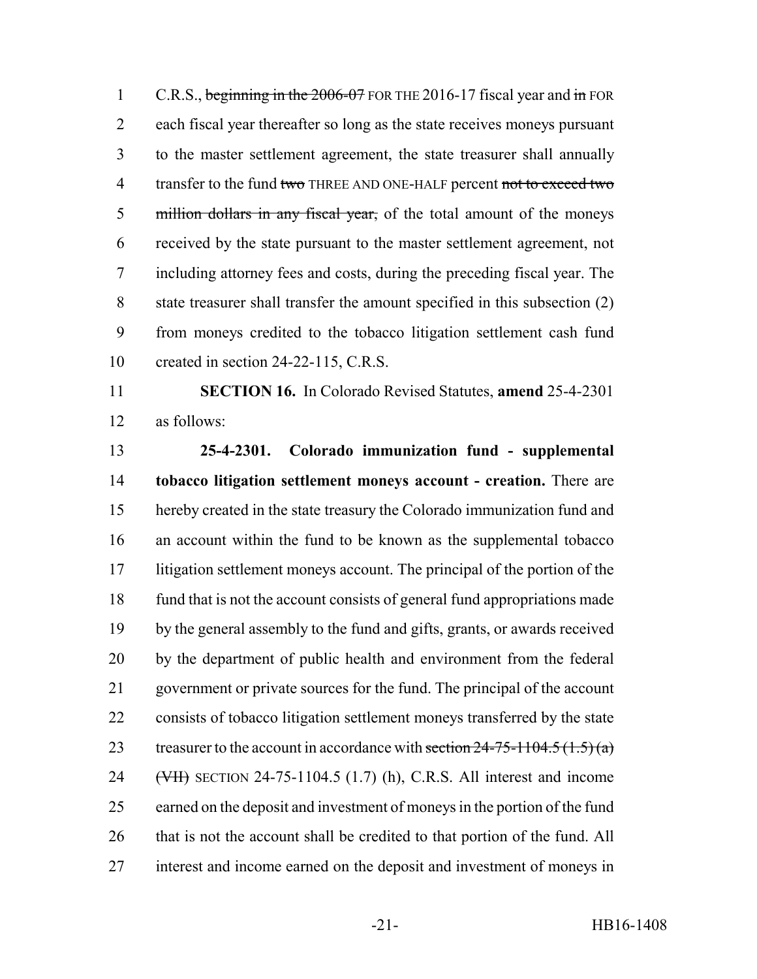1 C.R.S., beginning in the 2006-07 FOR THE 2016-17 fiscal year and in FOR each fiscal year thereafter so long as the state receives moneys pursuant to the master settlement agreement, the state treasurer shall annually 4 transfer to the fund two THREE AND ONE-HALF percent not to exceed two 5 million dollars in any fiscal year, of the total amount of the moneys received by the state pursuant to the master settlement agreement, not including attorney fees and costs, during the preceding fiscal year. The state treasurer shall transfer the amount specified in this subsection (2) from moneys credited to the tobacco litigation settlement cash fund created in section 24-22-115, C.R.S.

 **SECTION 16.** In Colorado Revised Statutes, **amend** 25-4-2301 as follows:

 **25-4-2301. Colorado immunization fund - supplemental tobacco litigation settlement moneys account - creation.** There are hereby created in the state treasury the Colorado immunization fund and an account within the fund to be known as the supplemental tobacco litigation settlement moneys account. The principal of the portion of the fund that is not the account consists of general fund appropriations made by the general assembly to the fund and gifts, grants, or awards received by the department of public health and environment from the federal government or private sources for the fund. The principal of the account consists of tobacco litigation settlement moneys transferred by the state 23 treasurer to the account in accordance with section  $24-75-1104.5(1.5)(a)$  (VII) SECTION 24-75-1104.5 (1.7) (h), C.R.S. All interest and income earned on the deposit and investment of moneys in the portion of the fund that is not the account shall be credited to that portion of the fund. All interest and income earned on the deposit and investment of moneys in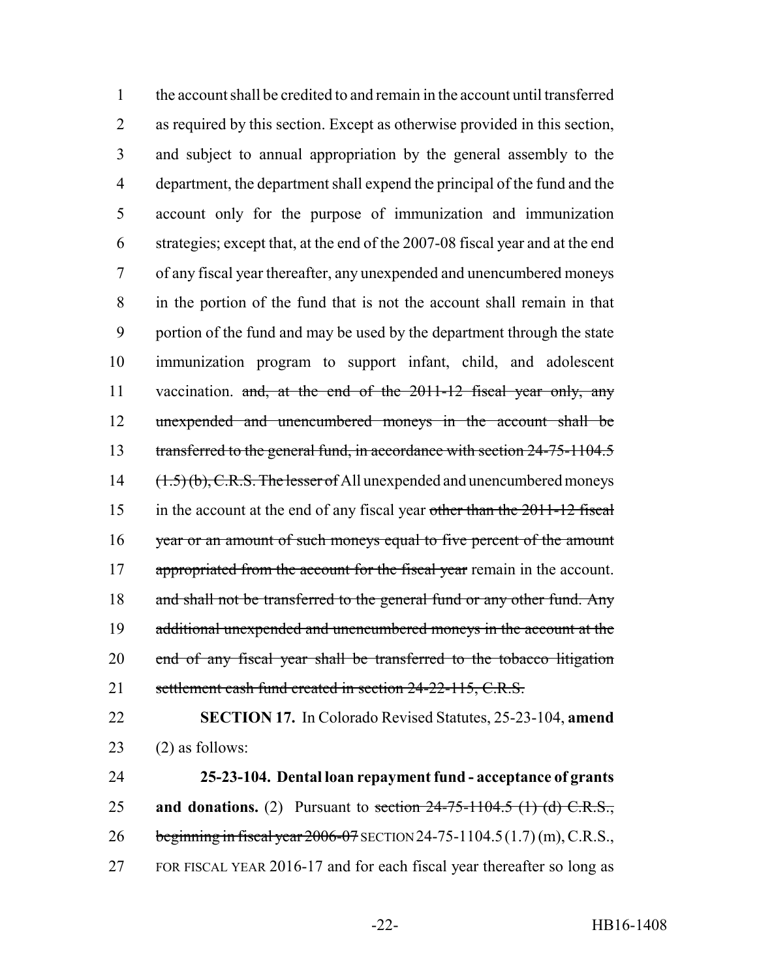the account shall be credited to and remain in the account until transferred as required by this section. Except as otherwise provided in this section, and subject to annual appropriation by the general assembly to the department, the department shall expend the principal of the fund and the account only for the purpose of immunization and immunization strategies; except that, at the end of the 2007-08 fiscal year and at the end of any fiscal year thereafter, any unexpended and unencumbered moneys in the portion of the fund that is not the account shall remain in that portion of the fund and may be used by the department through the state immunization program to support infant, child, and adolescent 11 vaccination. and, at the end of the 2011-12 fiscal year only, any unexpended and unencumbered moneys in the account shall be 13 transferred to the general fund, in accordance with section 24-75-1104.5 14 (1.5) (b), C.R.S. The lesser of All unexpended and unencumbered moneys 15 in the account at the end of any fiscal year other than the 2011-12 fiscal year or an amount of such moneys equal to five percent of the amount 17 appropriated from the account for the fiscal year remain in the account. 18 and shall not be transferred to the general fund or any other fund. Any additional unexpended and unencumbered moneys in the account at the end of any fiscal year shall be transferred to the tobacco litigation 21 settlement cash fund created in section 24-22-115, C.R.S. **SECTION 17.** In Colorado Revised Statutes, 25-23-104, **amend**

23  $(2)$  as follows:

 **25-23-104. Dental loan repayment fund - acceptance of grants and donations.** (2) Pursuant to section 24-75-1104.5 (1) (d) C.R.S., 26 beginning in fiscal year 2006-07 SECTION 24-75-1104.5(1.7) (m), C.R.S., FOR FISCAL YEAR 2016-17 and for each fiscal year thereafter so long as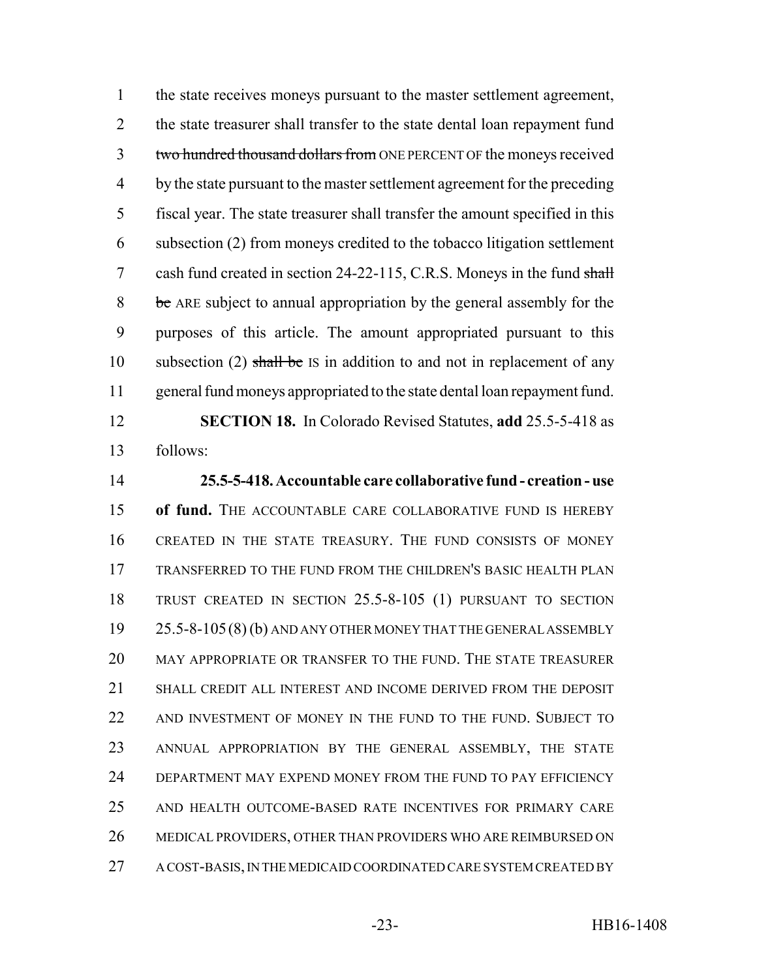the state receives moneys pursuant to the master settlement agreement, the state treasurer shall transfer to the state dental loan repayment fund 3 two hundred thousand dollars from ONE PERCENT OF the moneys received by the state pursuant to the master settlement agreement for the preceding fiscal year. The state treasurer shall transfer the amount specified in this subsection (2) from moneys credited to the tobacco litigation settlement 7 cash fund created in section 24-22-115, C.R.S. Moneys in the fund shall 8 be ARE subject to annual appropriation by the general assembly for the purposes of this article. The amount appropriated pursuant to this 10 subsection (2) shall be IS in addition to and not in replacement of any general fund moneys appropriated to the state dental loan repayment fund.

 **SECTION 18.** In Colorado Revised Statutes, **add** 25.5-5-418 as follows:

 **25.5-5-418. Accountable care collaborative fund - creation - use of fund.** The accountable care collaborative fund is hereby CREATED IN THE STATE TREASURY. THE FUND CONSISTS OF MONEY TRANSFERRED TO THE FUND FROM THE CHILDREN'S BASIC HEALTH PLAN TRUST CREATED IN SECTION 25.5-8-105 (1) PURSUANT TO SECTION 25.5-8-105(8) (b) AND ANY OTHER MONEY THAT THE GENERAL ASSEMBLY MAY APPROPRIATE OR TRANSFER TO THE FUND. THE STATE TREASURER SHALL CREDIT ALL INTEREST AND INCOME DERIVED FROM THE DEPOSIT 22 AND INVESTMENT OF MONEY IN THE FUND TO THE FUND. SUBJECT TO ANNUAL APPROPRIATION BY THE GENERAL ASSEMBLY, THE STATE DEPARTMENT MAY EXPEND MONEY FROM THE FUND TO PAY EFFICIENCY AND HEALTH OUTCOME-BASED RATE INCENTIVES FOR PRIMARY CARE MEDICAL PROVIDERS, OTHER THAN PROVIDERS WHO ARE REIMBURSED ON A COST-BASIS, IN THE MEDICAID COORDINATED CARE SYSTEM CREATED BY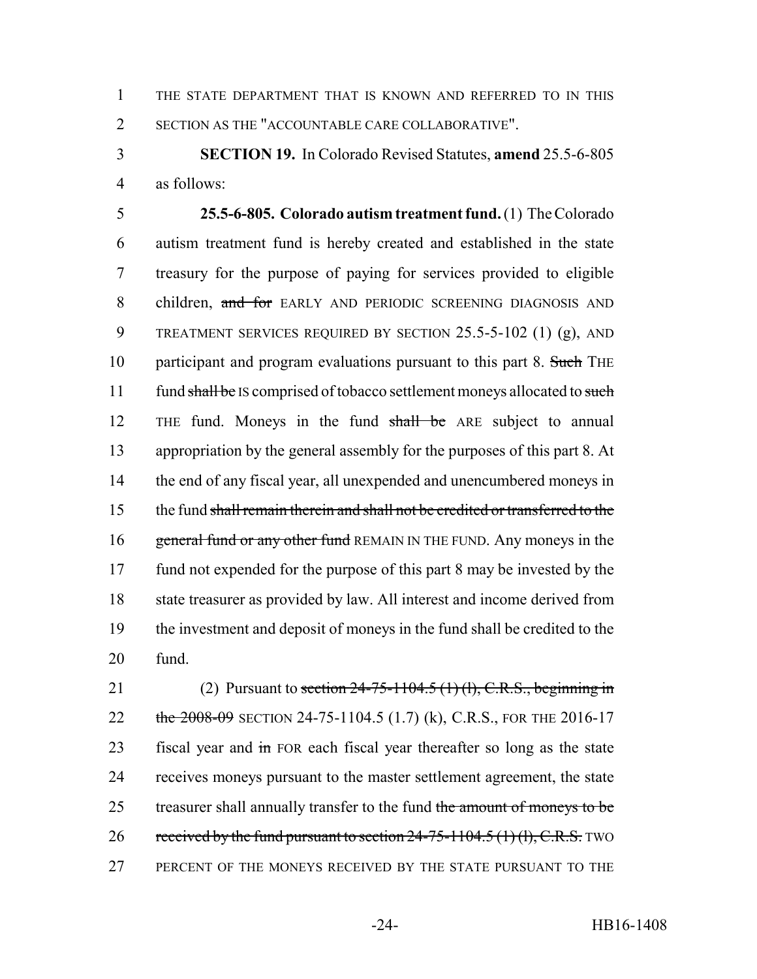1 THE STATE DEPARTMENT THAT IS KNOWN AND REFERRED TO IN THIS 2 SECTION AS THE "ACCOUNTABLE CARE COLLABORATIVE".

3 **SECTION 19.** In Colorado Revised Statutes, **amend** 25.5-6-805 4 as follows:

5 **25.5-6-805. Colorado autism treatment fund.** (1) The Colorado 6 autism treatment fund is hereby created and established in the state 7 treasury for the purpose of paying for services provided to eligible 8 children, and for EARLY AND PERIODIC SCREENING DIAGNOSIS AND 9 TREATMENT SERVICES REQUIRED BY SECTION 25.5-5-102 (1) (g), AND 10 participant and program evaluations pursuant to this part 8. Such THE 11 fund shall be IS comprised of tobacco settlement moneys allocated to such 12 THE fund. Moneys in the fund shall be ARE subject to annual 13 appropriation by the general assembly for the purposes of this part 8. At 14 the end of any fiscal year, all unexpended and unencumbered moneys in 15 the fund shall remain therein and shall not be credited or transferred to the 16 general fund or any other fund REMAIN IN THE FUND. Any moneys in the 17 fund not expended for the purpose of this part 8 may be invested by the 18 state treasurer as provided by law. All interest and income derived from 19 the investment and deposit of moneys in the fund shall be credited to the 20 fund.

21 (2) Pursuant to section  $24-75-1104.5$  (1) (1), C.R.S., beginning in 22 the 2008-09 SECTION 24-75-1104.5 (1.7) (k), C.R.S., FOR THE 2016-17 23 fiscal year and in FOR each fiscal year thereafter so long as the state 24 receives moneys pursuant to the master settlement agreement, the state 25 treasurer shall annually transfer to the fund the amount of moneys to be 26 received by the fund pursuant to section 24-75-1104.5 (1) (1), C.R.S. TWO 27 PERCENT OF THE MONEYS RECEIVED BY THE STATE PURSUANT TO THE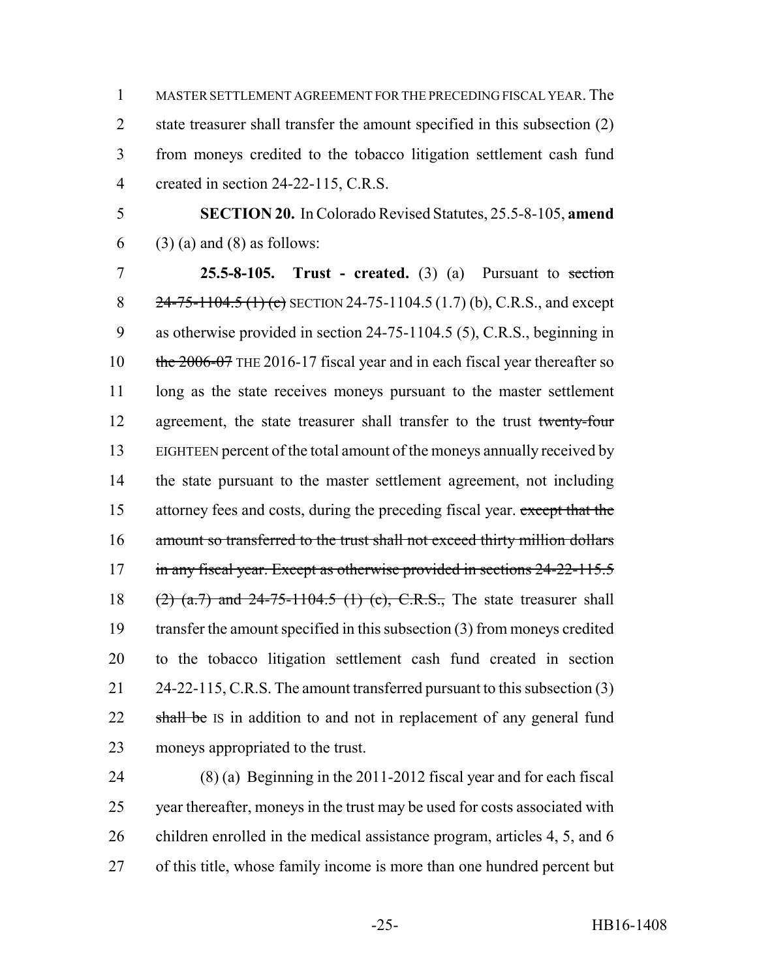MASTER SETTLEMENT AGREEMENT FOR THE PRECEDING FISCAL YEAR. The state treasurer shall transfer the amount specified in this subsection (2) from moneys credited to the tobacco litigation settlement cash fund created in section 24-22-115, C.R.S.

 **SECTION 20.** In Colorado Revised Statutes, 25.5-8-105, **amend**  $(3)$  (a) and (8) as follows:

 **25.5-8-105. Trust - created.** (3) (a) Pursuant to section 8  $\frac{24-75-1104.5 (1)(e)}{24-75-1104.5 (1.7)(b)}$ , C.R.S., and except as otherwise provided in section 24-75-1104.5 (5), C.R.S., beginning in 10 the 2006-07 THE 2016-17 fiscal year and in each fiscal year thereafter so long as the state receives moneys pursuant to the master settlement 12 agreement, the state treasurer shall transfer to the trust twenty-four EIGHTEEN percent of the total amount of the moneys annually received by the state pursuant to the master settlement agreement, not including 15 attorney fees and costs, during the preceding fiscal year. except that the amount so transferred to the trust shall not exceed thirty million dollars 17 in any fiscal year. Except as otherwise provided in sections 24-22-115.5 18 (2)  $(a.7)$  and 24-75-1104.5 (1) (c), C.R.S., The state treasurer shall transfer the amount specified in this subsection (3) from moneys credited to the tobacco litigation settlement cash fund created in section 21 24-22-115, C.R.S. The amount transferred pursuant to this subsection (3) 22 shall be IS in addition to and not in replacement of any general fund moneys appropriated to the trust.

 (8) (a) Beginning in the 2011-2012 fiscal year and for each fiscal year thereafter, moneys in the trust may be used for costs associated with 26 children enrolled in the medical assistance program, articles 4, 5, and 6 of this title, whose family income is more than one hundred percent but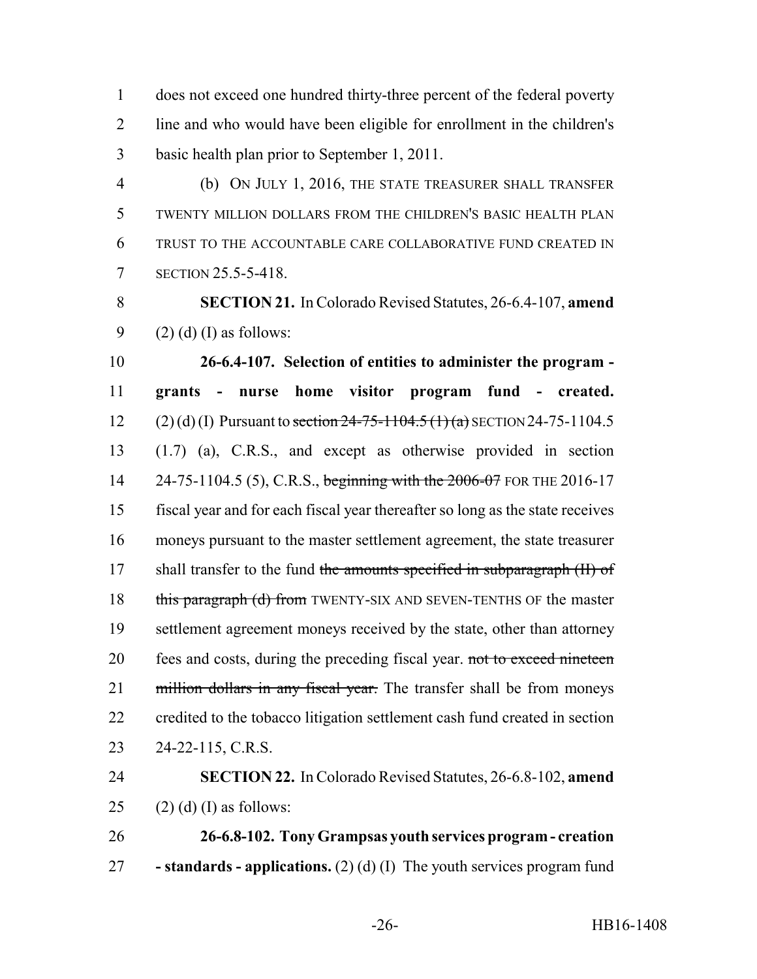does not exceed one hundred thirty-three percent of the federal poverty line and who would have been eligible for enrollment in the children's basic health plan prior to September 1, 2011.

 (b) ON JULY 1, 2016, THE STATE TREASURER SHALL TRANSFER TWENTY MILLION DOLLARS FROM THE CHILDREN'S BASIC HEALTH PLAN TRUST TO THE ACCOUNTABLE CARE COLLABORATIVE FUND CREATED IN SECTION 25.5-5-418.

 **SECTION 21.** In Colorado Revised Statutes, 26-6.4-107, **amend** 9 (2) (d) (I) as follows:

 **26-6.4-107. Selection of entities to administer the program - grants - nurse home visitor program fund - created.** 12 (2) (d) (I) Pursuant to section  $24-75-1104.5$  (1) (a) SECTION 24-75-1104.5 (1.7) (a), C.R.S., and except as otherwise provided in section 14 24-75-1104.5 (5), C.R.S., beginning with the 2006-07 FOR THE 2016-17 fiscal year and for each fiscal year thereafter so long as the state receives moneys pursuant to the master settlement agreement, the state treasurer 17 shall transfer to the fund the amounts specified in subparagraph (II) of 18 this paragraph (d) from TWENTY-SIX AND SEVEN-TENTHS OF the master settlement agreement moneys received by the state, other than attorney 20 fees and costs, during the preceding fiscal year. not to exceed nineteen 21 million dollars in any fiscal year. The transfer shall be from moneys credited to the tobacco litigation settlement cash fund created in section 24-22-115, C.R.S.

 **SECTION 22.** In Colorado Revised Statutes, 26-6.8-102, **amend** 25 (2) (d) (I) as follows:

 **26-6.8-102. Tony Grampsas youth services program - creation - standards - applications.** (2) (d) (I) The youth services program fund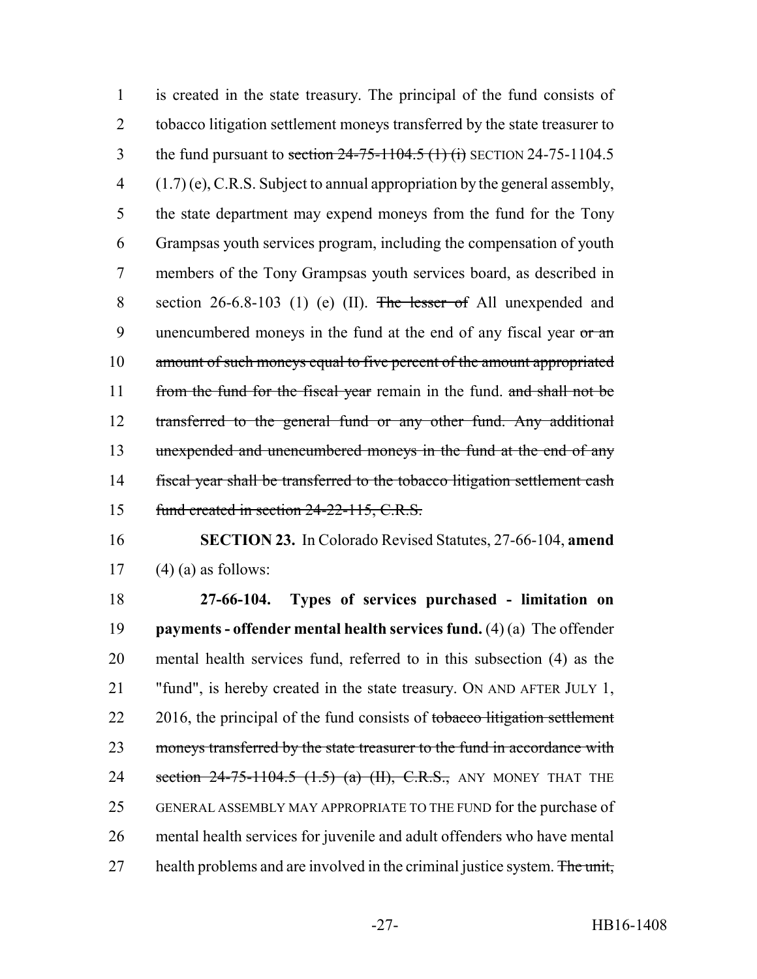1 is created in the state treasury. The principal of the fund consists of 2 tobacco litigation settlement moneys transferred by the state treasurer to 3 the fund pursuant to section  $24-75-1104.5$  (1) (i) SECTION 24-75-1104.5  $(1.7)$  (e), C.R.S. Subject to annual appropriation by the general assembly, 5 the state department may expend moneys from the fund for the Tony 6 Grampsas youth services program, including the compensation of youth 7 members of the Tony Grampsas youth services board, as described in 8 section 26-6.8-103 (1) (e) (II). The lesser of All unexpended and 9 unencumbered moneys in the fund at the end of any fiscal year or an 10 amount of such moneys equal to five percent of the amount appropriated 11 from the fund for the fiscal year remain in the fund. and shall not be 12 transferred to the general fund or any other fund. Any additional 13 unexpended and unencumbered moneys in the fund at the end of any 14 fiscal year shall be transferred to the tobacco litigation settlement cash 15 fund created in section 24-22-115, C.R.S.

16 **SECTION 23.** In Colorado Revised Statutes, 27-66-104, **amend**

17  $(4)$  (a) as follows:

18 **27-66-104. Types of services purchased - limitation on** 19 **payments - offender mental health services fund.** (4) (a) The offender 20 mental health services fund, referred to in this subsection (4) as the 21 "fund", is hereby created in the state treasury. ON AND AFTER JULY 1, 22 2016, the principal of the fund consists of tobacco litigation settlement 23 moneys transferred by the state treasurer to the fund in accordance with 24 section 24-75-1104.5 (1.5) (a) (II), C.R.S., ANY MONEY THAT THE 25 GENERAL ASSEMBLY MAY APPROPRIATE TO THE FUND for the purchase of 26 mental health services for juvenile and adult offenders who have mental 27 health problems and are involved in the criminal justice system. The unit,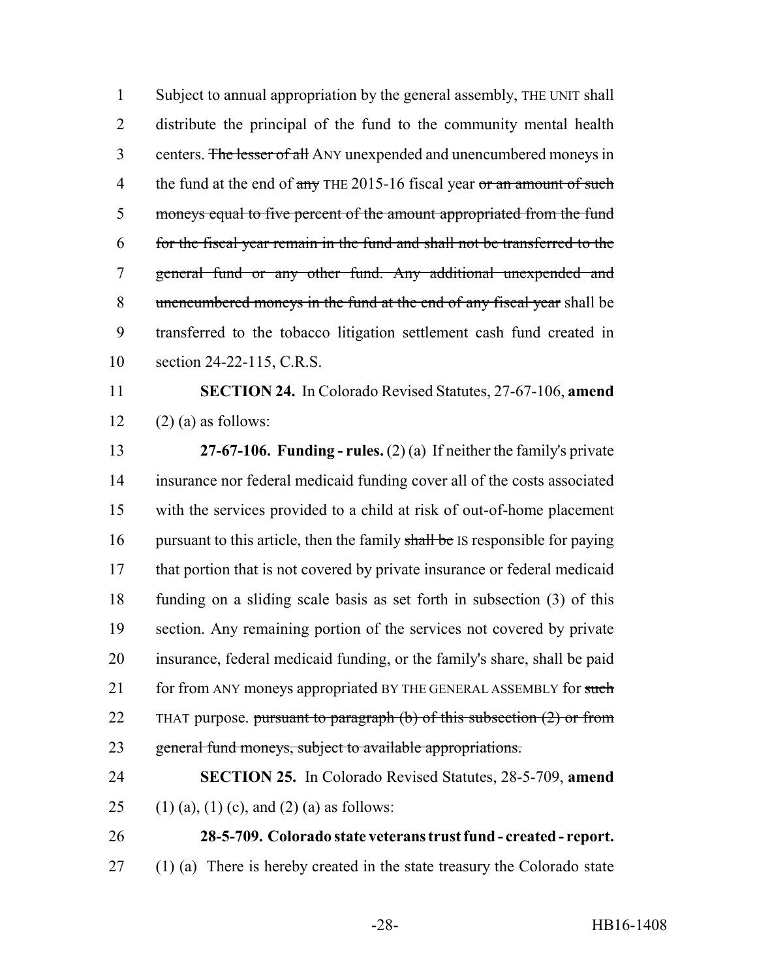Subject to annual appropriation by the general assembly, THE UNIT shall distribute the principal of the fund to the community mental health 3 centers. The lesser of all ANY unexpended and unencumbered moneys in 4 the fund at the end of any THE 2015-16 fiscal year or an amount of such moneys equal to five percent of the amount appropriated from the fund for the fiscal year remain in the fund and shall not be transferred to the general fund or any other fund. Any additional unexpended and 8 unencumbered moneys in the fund at the end of any fiscal year shall be transferred to the tobacco litigation settlement cash fund created in section 24-22-115, C.R.S.

 **SECTION 24.** In Colorado Revised Statutes, 27-67-106, **amend** 12  $(2)$  (a) as follows:

 **27-67-106. Funding - rules.** (2) (a) If neither the family's private insurance nor federal medicaid funding cover all of the costs associated with the services provided to a child at risk of out-of-home placement 16 pursuant to this article, then the family shall be IS responsible for paying 17 that portion that is not covered by private insurance or federal medicaid funding on a sliding scale basis as set forth in subsection (3) of this section. Any remaining portion of the services not covered by private insurance, federal medicaid funding, or the family's share, shall be paid 21 for from ANY moneys appropriated BY THE GENERAL ASSEMBLY for such 22 THAT purpose. pursuant to paragraph  $(b)$  of this subsection  $(2)$  or from general fund moneys, subject to available appropriations.

 **SECTION 25.** In Colorado Revised Statutes, 28-5-709, **amend** 25 (1) (a), (1) (c), and (2) (a) as follows:

 **28-5-709. Colorado state veterans trust fund - created - report.** (1) (a) There is hereby created in the state treasury the Colorado state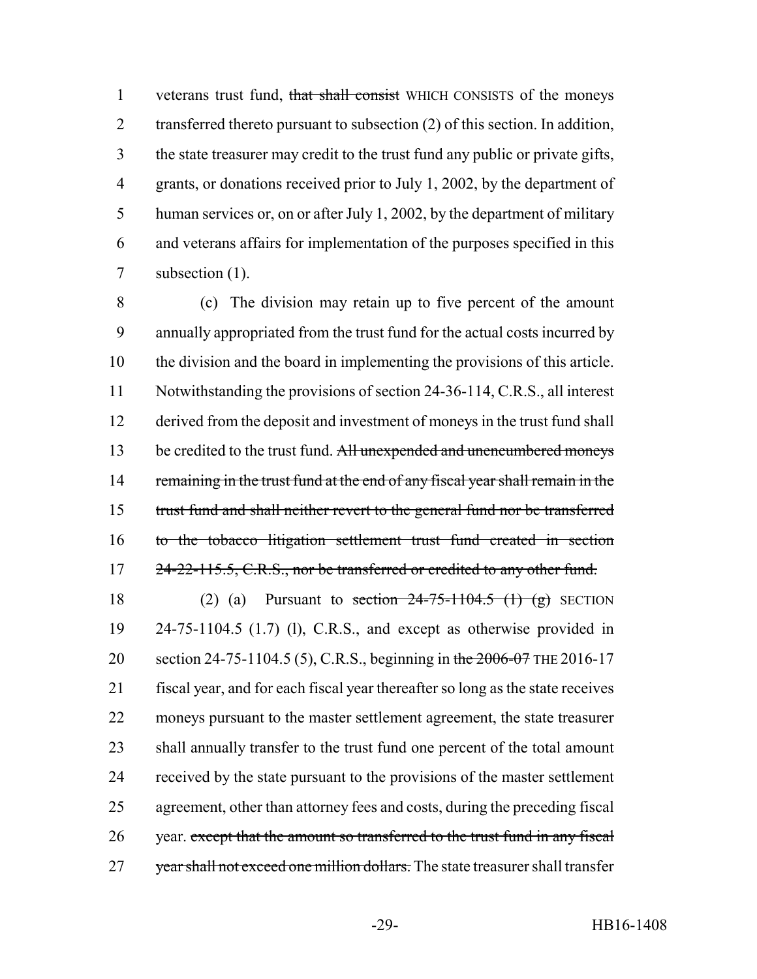1 veterans trust fund, that shall consist WHICH CONSISTS of the moneys 2 transferred thereto pursuant to subsection (2) of this section. In addition, the state treasurer may credit to the trust fund any public or private gifts, grants, or donations received prior to July 1, 2002, by the department of human services or, on or after July 1, 2002, by the department of military and veterans affairs for implementation of the purposes specified in this subsection (1).

 (c) The division may retain up to five percent of the amount annually appropriated from the trust fund for the actual costs incurred by the division and the board in implementing the provisions of this article. Notwithstanding the provisions of section 24-36-114, C.R.S., all interest derived from the deposit and investment of moneys in the trust fund shall 13 be credited to the trust fund. All unexpended and unencumbered moneys 14 remaining in the trust fund at the end of any fiscal year shall remain in the trust fund and shall neither revert to the general fund nor be transferred to the tobacco litigation settlement trust fund created in section 17 24-22-115.5, C.R.S., nor be transferred or credited to any other fund.

18 (2) (a) Pursuant to section  $24-75-1104.5$  (1) (g) SECTION 24-75-1104.5 (1.7) (l), C.R.S., and except as otherwise provided in 20 section 24-75-1104.5 (5), C.R.S., beginning in the 2006-07 THE 2016-17 fiscal year, and for each fiscal year thereafter so long as the state receives moneys pursuant to the master settlement agreement, the state treasurer shall annually transfer to the trust fund one percent of the total amount received by the state pursuant to the provisions of the master settlement agreement, other than attorney fees and costs, during the preceding fiscal 26 year. except that the amount so transferred to the trust fund in any fiscal 27 year shall not exceed one million dollars. The state treasurer shall transfer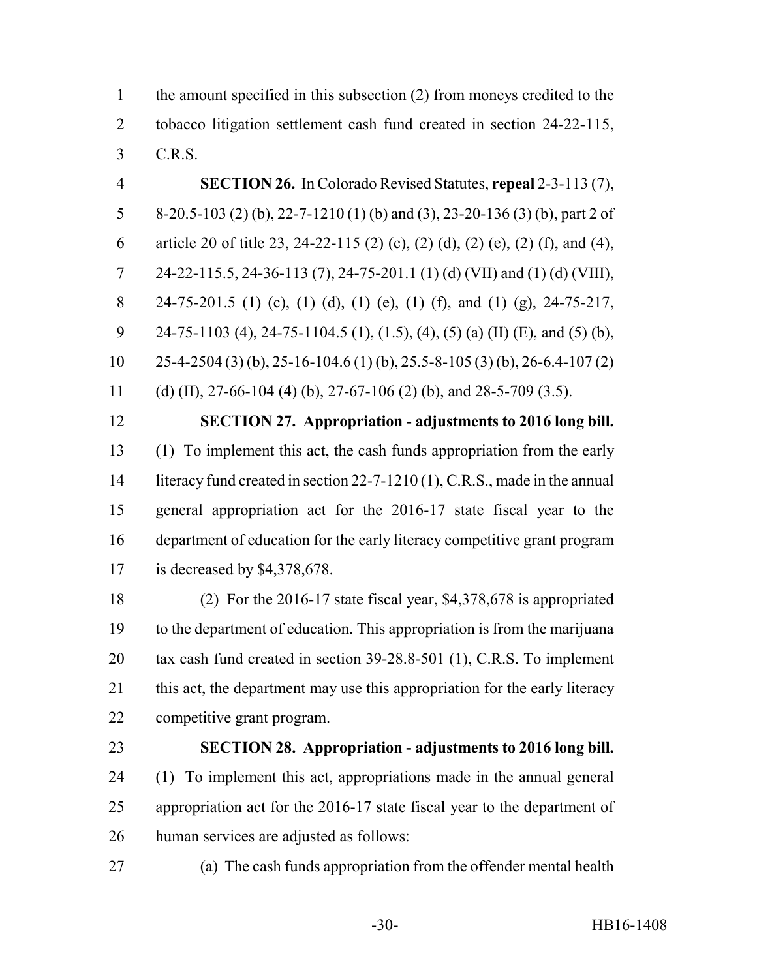1 the amount specified in this subsection (2) from moneys credited to the tobacco litigation settlement cash fund created in section 24-22-115, C.R.S.

 **SECTION 26.** In Colorado Revised Statutes, **repeal** 2-3-113 (7), 8-20.5-103 (2) (b), 22-7-1210 (1) (b) and (3), 23-20-136 (3) (b), part 2 of article 20 of title 23, 24-22-115 (2) (c), (2) (d), (2) (e), (2) (f), and (4), 7 24-22-115.5, 24-36-113 (7), 24-75-201.1 (1) (d) (VII) and (1) (d) (VIII), 24-75-201.5 (1) (c), (1) (d), (1) (e), (1) (f), and (1) (g), 24-75-217, 9 24-75-1103 (4), 24-75-1104.5 (1), (1.5), (4), (5) (a) (II) (E), and (5) (b),  $10 \qquad 25-4-2504 \tag{3}$  (b),  $25-16-104.6 \tag{1}$  (b),  $25.5-8-105 \tag{3}$  (b),  $26-6.4-107 \tag{2}$ 11 (d) (II), 27-66-104 (4) (b), 27-67-106 (2) (b), and 28-5-709 (3.5).

 **SECTION 27. Appropriation - adjustments to 2016 long bill.** (1) To implement this act, the cash funds appropriation from the early literacy fund created in section 22-7-1210 (1), C.R.S., made in the annual general appropriation act for the 2016-17 state fiscal year to the department of education for the early literacy competitive grant program is decreased by \$4,378,678.

 (2) For the 2016-17 state fiscal year, \$4,378,678 is appropriated to the department of education. This appropriation is from the marijuana tax cash fund created in section 39-28.8-501 (1), C.R.S. To implement this act, the department may use this appropriation for the early literacy competitive grant program.

### **SECTION 28. Appropriation - adjustments to 2016 long bill.**

- (1) To implement this act, appropriations made in the annual general appropriation act for the 2016-17 state fiscal year to the department of human services are adjusted as follows:
- 
- (a) The cash funds appropriation from the offender mental health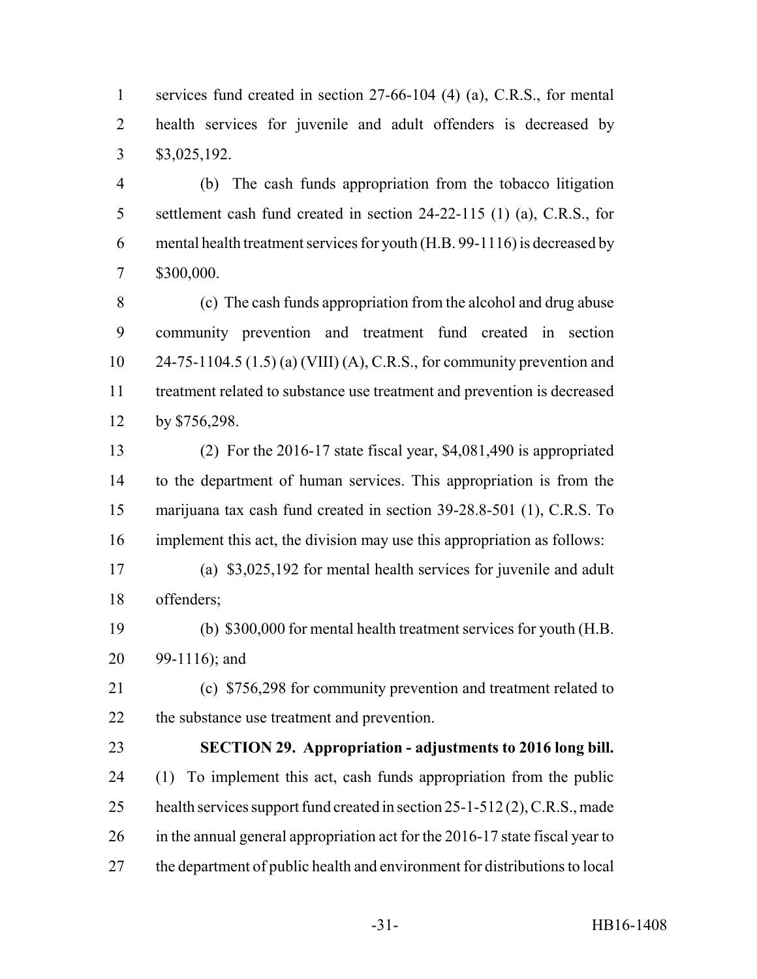services fund created in section 27-66-104 (4) (a), C.R.S., for mental health services for juvenile and adult offenders is decreased by \$3,025,192.

 (b) The cash funds appropriation from the tobacco litigation settlement cash fund created in section 24-22-115 (1) (a), C.R.S., for mental health treatment services for youth (H.B. 99-1116) is decreased by \$300,000.

 (c) The cash funds appropriation from the alcohol and drug abuse community prevention and treatment fund created in section 24-75-1104.5 (1.5) (a) (VIII) (A), C.R.S., for community prevention and treatment related to substance use treatment and prevention is decreased by \$756,298.

 (2) For the 2016-17 state fiscal year, \$4,081,490 is appropriated to the department of human services. This appropriation is from the marijuana tax cash fund created in section 39-28.8-501 (1), C.R.S. To implement this act, the division may use this appropriation as follows:

 (a) \$3,025,192 for mental health services for juvenile and adult offenders;

 (b) \$300,000 for mental health treatment services for youth (H.B. 99-1116); and

 (c) \$756,298 for community prevention and treatment related to the substance use treatment and prevention.

### **SECTION 29. Appropriation - adjustments to 2016 long bill.**

 (1) To implement this act, cash funds appropriation from the public 25 health services support fund created in section 25-1-512 (2), C.R.S., made in the annual general appropriation act for the 2016-17 state fiscal year to the department of public health and environment for distributions to local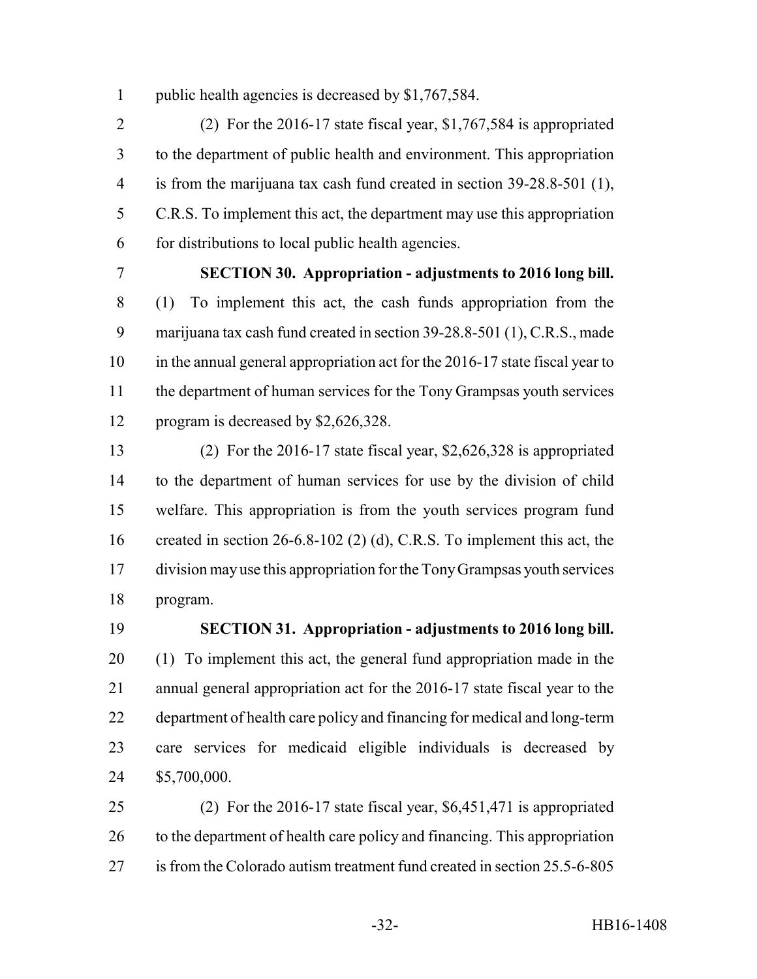public health agencies is decreased by \$1,767,584.

 (2) For the 2016-17 state fiscal year, \$1,767,584 is appropriated to the department of public health and environment. This appropriation is from the marijuana tax cash fund created in section 39-28.8-501 (1), C.R.S. To implement this act, the department may use this appropriation for distributions to local public health agencies.

# **SECTION 30. Appropriation - adjustments to 2016 long bill.**

 (1) To implement this act, the cash funds appropriation from the marijuana tax cash fund created in section 39-28.8-501 (1), C.R.S., made in the annual general appropriation act for the 2016-17 state fiscal year to the department of human services for the Tony Grampsas youth services program is decreased by \$2,626,328.

 (2) For the 2016-17 state fiscal year, \$2,626,328 is appropriated to the department of human services for use by the division of child welfare. This appropriation is from the youth services program fund created in section 26-6.8-102 (2) (d), C.R.S. To implement this act, the division may use this appropriation for the Tony Grampsas youth services program.

 **SECTION 31. Appropriation - adjustments to 2016 long bill.** (1) To implement this act, the general fund appropriation made in the annual general appropriation act for the 2016-17 state fiscal year to the department of health care policy and financing for medical and long-term care services for medicaid eligible individuals is decreased by \$5,700,000.

 (2) For the 2016-17 state fiscal year, \$6,451,471 is appropriated to the department of health care policy and financing. This appropriation is from the Colorado autism treatment fund created in section 25.5-6-805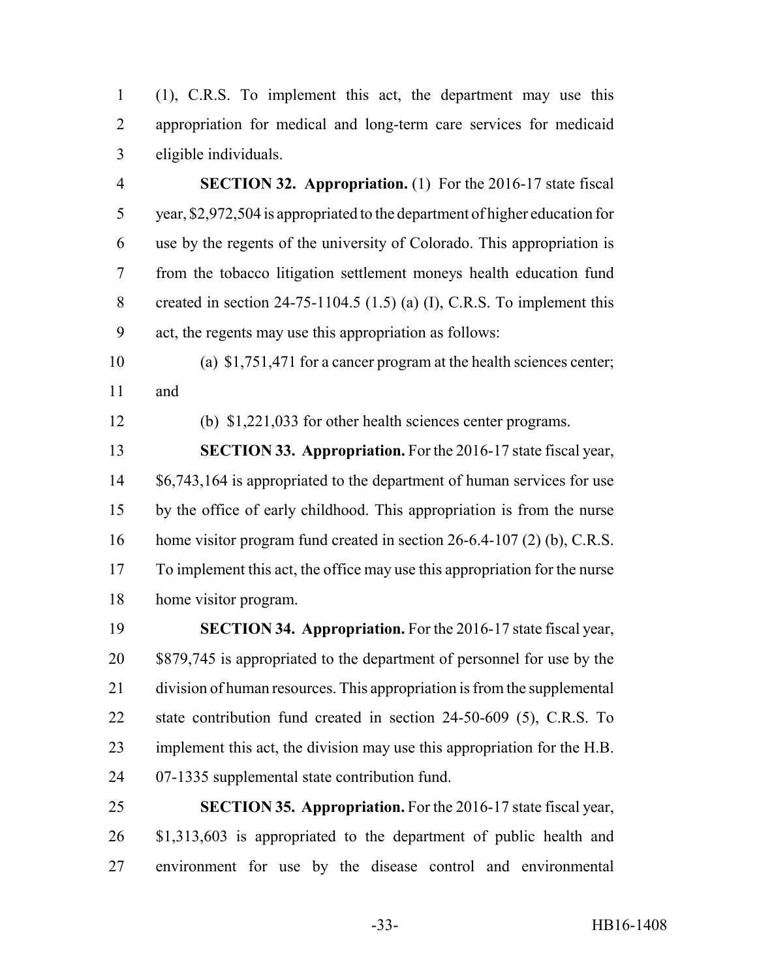(1), C.R.S. To implement this act, the department may use this appropriation for medical and long-term care services for medicaid eligible individuals.

 **SECTION 32. Appropriation.** (1) For the 2016-17 state fiscal year, \$2,972,504 is appropriated to the department of higher education for use by the regents of the university of Colorado. This appropriation is from the tobacco litigation settlement moneys health education fund 8 created in section 24-75-1104.5 (1.5) (a) (I), C.R.S. To implement this act, the regents may use this appropriation as follows:

 (a) \$1,751,471 for a cancer program at the health sciences center; and

(b) \$1,221,033 for other health sciences center programs.

 **SECTION 33. Appropriation.** For the 2016-17 state fiscal year, 14 \$6,743,164 is appropriated to the department of human services for use by the office of early childhood. This appropriation is from the nurse 16 home visitor program fund created in section 26-6.4-107 (2) (b), C.R.S. To implement this act, the office may use this appropriation for the nurse home visitor program.

 **SECTION 34. Appropriation.** For the 2016-17 state fiscal year, 20 \$879,745 is appropriated to the department of personnel for use by the division of human resources. This appropriation is from the supplemental state contribution fund created in section 24-50-609 (5), C.R.S. To implement this act, the division may use this appropriation for the H.B. 07-1335 supplemental state contribution fund.

 **SECTION 35. Appropriation.** For the 2016-17 state fiscal year, \$1,313,603 is appropriated to the department of public health and environment for use by the disease control and environmental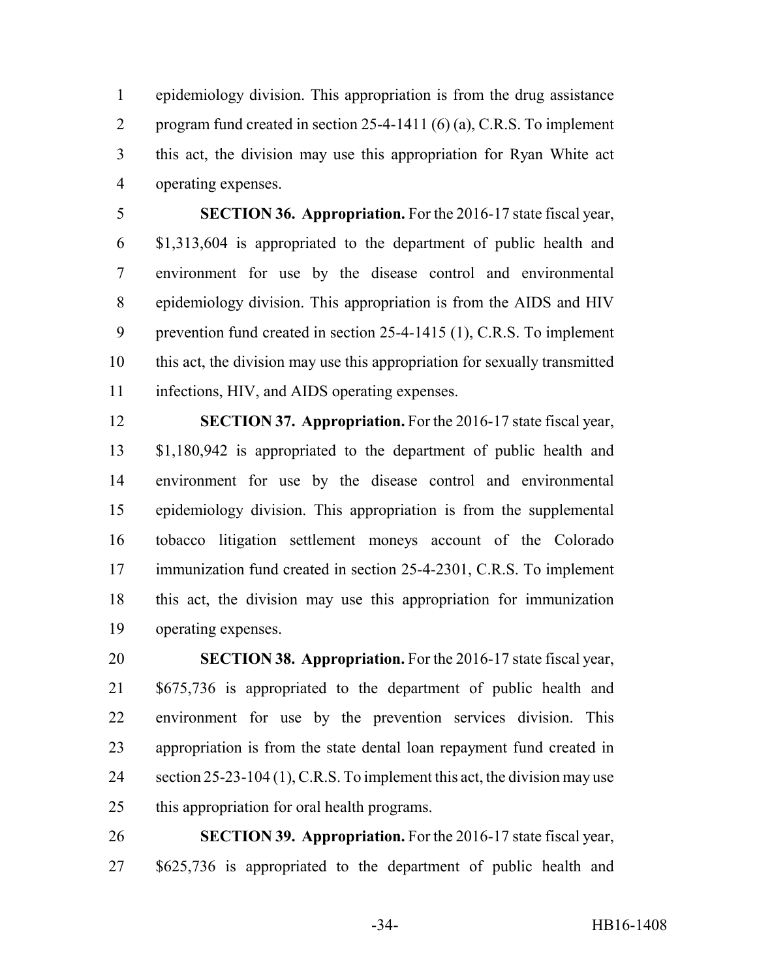epidemiology division. This appropriation is from the drug assistance program fund created in section 25-4-1411 (6) (a), C.R.S. To implement this act, the division may use this appropriation for Ryan White act operating expenses.

 **SECTION 36. Appropriation.** For the 2016-17 state fiscal year, \$1,313,604 is appropriated to the department of public health and environment for use by the disease control and environmental epidemiology division. This appropriation is from the AIDS and HIV prevention fund created in section 25-4-1415 (1), C.R.S. To implement this act, the division may use this appropriation for sexually transmitted infections, HIV, and AIDS operating expenses.

 **SECTION 37. Appropriation.** For the 2016-17 state fiscal year, \$1,180,942 is appropriated to the department of public health and environment for use by the disease control and environmental epidemiology division. This appropriation is from the supplemental tobacco litigation settlement moneys account of the Colorado immunization fund created in section 25-4-2301, C.R.S. To implement this act, the division may use this appropriation for immunization operating expenses.

 **SECTION 38. Appropriation.** For the 2016-17 state fiscal year, \$675,736 is appropriated to the department of public health and environment for use by the prevention services division. This appropriation is from the state dental loan repayment fund created in 24 section 25-23-104 (1), C.R.S. To implement this act, the division may use this appropriation for oral health programs.

 **SECTION 39. Appropriation.** For the 2016-17 state fiscal year, \$625,736 is appropriated to the department of public health and